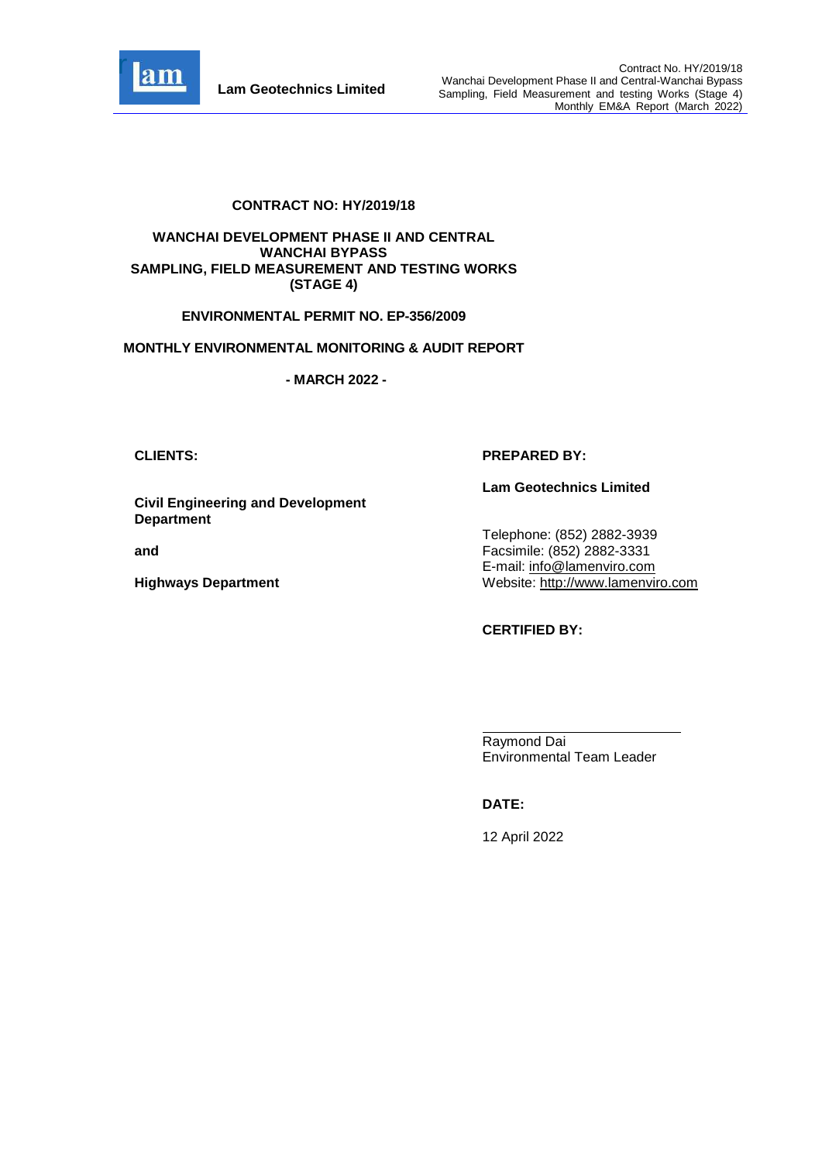

### **CONTRACT NO: HY/2019/18**

#### **WANCHAI DEVELOPMENT PHASE II AND CENTRAL WANCHAI BYPASS SAMPLING, FIELD MEASUREMENT AND TESTING WORKS (STAGE 4)**

### **ENVIRONMENTAL PERMIT NO. EP-356/2009**

#### **MONTHLY ENVIRONMENTAL MONITORING & AUDIT REPORT**

**- MARCH 2022 -**

### **Civil Engineering and Development Department**

**and** 

**Highways Department**

### **CLIENTS: PREPARED BY:**

#### **Lam Geotechnics Limited**

Telephone: (852) 2882-3939 Facsimile: (852) 2882-3331 E-mail: [info@lamenviro.com](mailto:info@lamenviro.com) Website: [http://www.lamenviro.com](http://www.lamenviro.com/)

### **CERTIFIED BY:**

Raymond Dai Environmental Team Leader

## **DATE:**

12 April 2022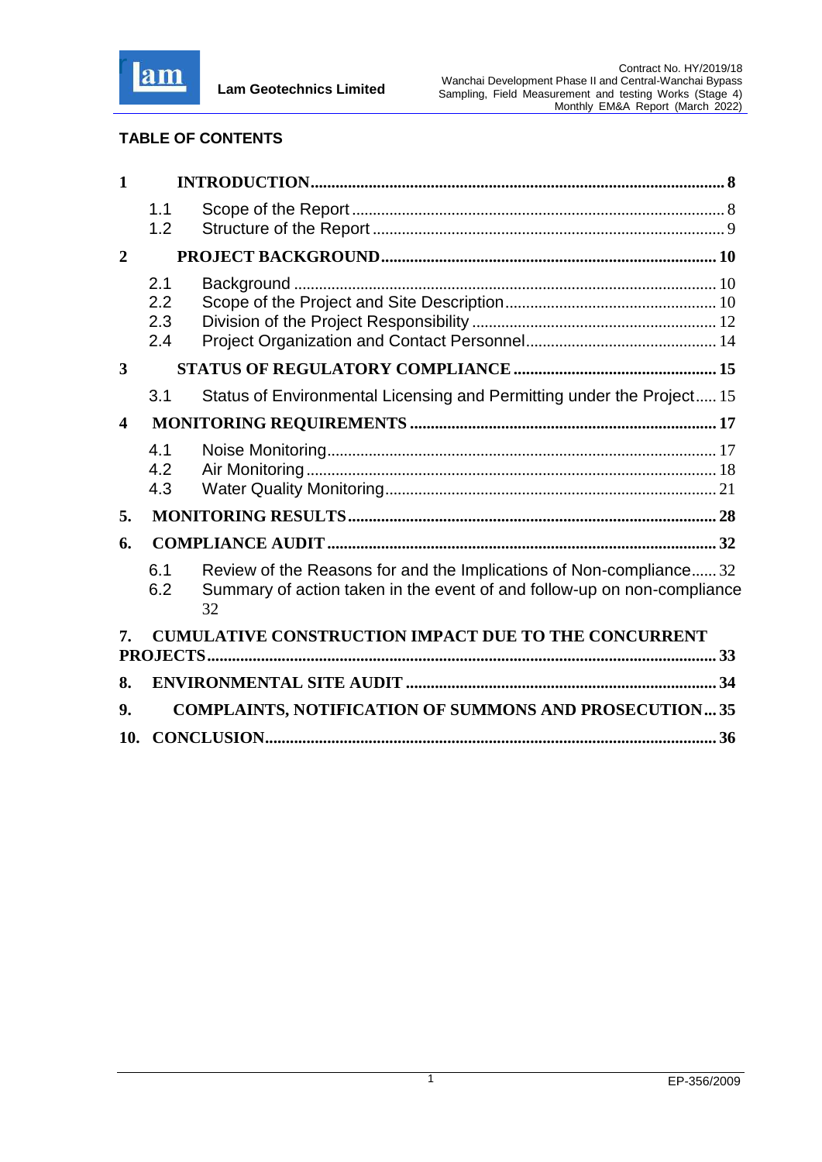

# **TABLE OF CONTENTS**

| $\mathbf{1}$            |                          |                                                                                                                                                     |  |
|-------------------------|--------------------------|-----------------------------------------------------------------------------------------------------------------------------------------------------|--|
|                         | 1.1<br>1.2               |                                                                                                                                                     |  |
| $\overline{2}$          |                          |                                                                                                                                                     |  |
|                         | 2.1<br>2.2<br>2.3<br>2.4 |                                                                                                                                                     |  |
| 3                       |                          |                                                                                                                                                     |  |
|                         | 3.1                      | Status of Environmental Licensing and Permitting under the Project 15                                                                               |  |
| $\overline{\mathbf{4}}$ |                          |                                                                                                                                                     |  |
|                         | 4.1<br>4.2<br>4.3        |                                                                                                                                                     |  |
| 5.                      |                          |                                                                                                                                                     |  |
| 6.                      |                          |                                                                                                                                                     |  |
|                         | 6.1<br>6.2               | Review of the Reasons for and the Implications of Non-compliance32<br>Summary of action taken in the event of and follow-up on non-compliance<br>32 |  |
| 7.                      |                          | <b>CUMULATIVE CONSTRUCTION IMPACT DUE TO THE CONCURRENT</b>                                                                                         |  |
| 8.                      |                          |                                                                                                                                                     |  |
| 9.                      |                          | <b>COMPLAINTS, NOTIFICATION OF SUMMONS AND PROSECUTION35</b>                                                                                        |  |
| 10.                     |                          |                                                                                                                                                     |  |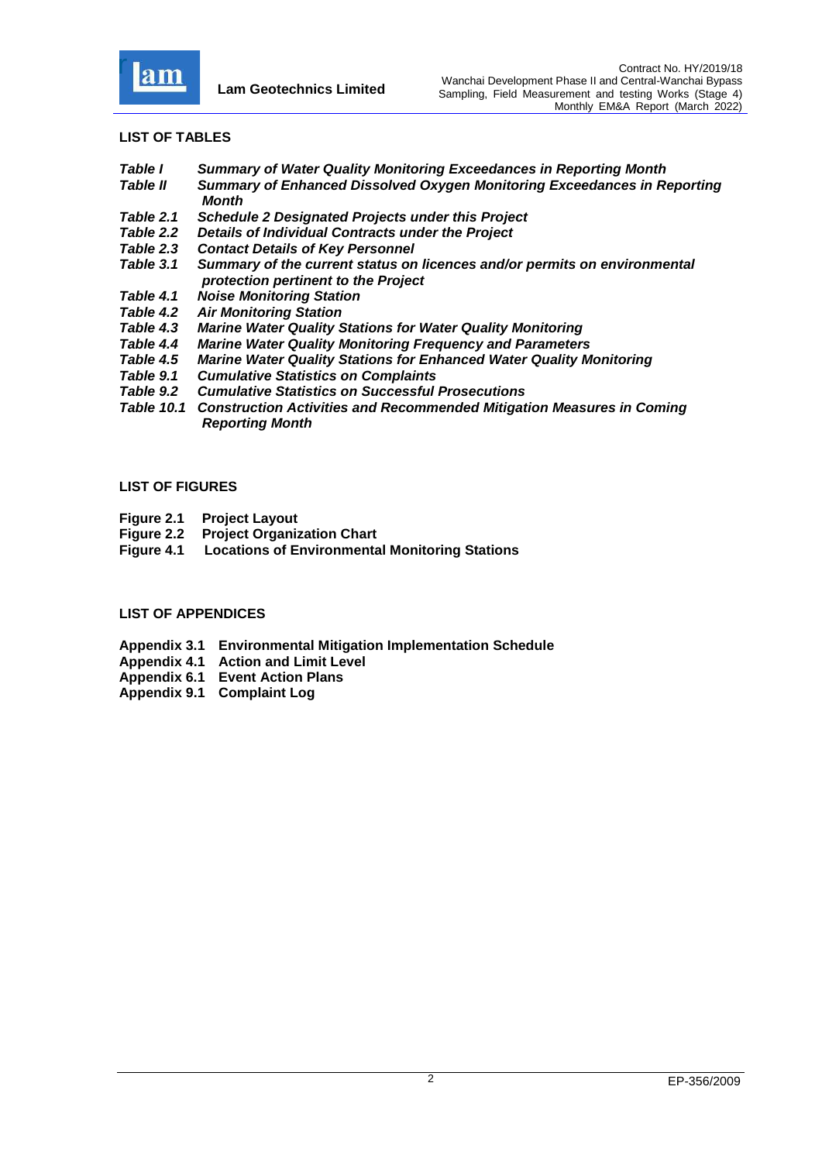

### **LIST OF TABLES**

- *Table I Summary of Water Quality Monitoring Exceedances in Reporting Month*
- *Table II Summary of Enhanced Dissolved Oxygen Monitoring Exceedances in Reporting Month*
- *[Table 2.1 Schedule 2 Designated Projects under this Project](#page-11-0)*
- *Table 2.2 [Details of Individual Contracts under the Project](#page-12-1)*
- *Table 2.3 [Contact Details of Key Personnel](#page-14-1)*
- *Table 3.1 [Summary of the current status on licences and/or permits on environmental](#page-15-2)  [protection pertinent to the Project](#page-15-2)*
- *Table 4.1 [Noise Monitoring Station](#page-17-2)*
- *Table 4.2 [Air Monitoring Station](#page-22-0)*
- *Table 4.3 [Marine Water Quality Stations for Water Quality Monitoring](#page-22-0)*
- **[Marine Water Quality Monitoring Frequency and Parameters](#page-23-0)**
- *Table 4.5 [Marine Water Quality Stations for Enhanced Water Quality Monitoring](#page-26-0)*
- *Table 9.1 [Cumulative Statistics on Complaints](#page-35-1)*
- *Table 9.2 [Cumulative Statistics on Successful Prosecutions](#page-35-2)*
- *Table 10.1 Construction Activities and Recommended Mitigation Measures in Coming Reporting Month*

#### **LIST OF FIGURES**

- **Figure 2.1 [Project Layout](file:///C:/Users/porsia/Desktop/Attachment/Fig%202.1_Project%20Layout.pdf)**
- **Figure 2.2 [Project Organization Chart](file:///C:/Users/porsia/Desktop/Attachment/Fig%202.2%20Project%20Organization%20Chart.pdf)**
- **Figure 4.1 [Locations of Environmental Monitoring Stations](file:///C:/Users/porsia/Desktop/Attachment/Fig%204.1_Location%20of%20monitoring%20stations.pdf)**

### **LIST OF APPENDICES**

- **Appendix 3.1 [Environmental Mitigation Implementation Schedule](file:///C:/Users/porsia/Desktop/Attachment/App3.1%20EMIS.pdf)**
- **Appendix 4.1 [Action and Limit Level](file:///C:/Users/porsia/Desktop/Attachment/App4.1%20Action%20and%20Limit%20Level.pdf)**
- **Appendix 6.1 [Event Action Plans](file:///C:/Users/porsia/Desktop/Attachment/App6.1_Event%20and%20Action%20Plan.pdf)**
- **Appendix 9.1 [Complaint Log](file:///C:/Users/porsia/Desktop/Attachment/App9.1%20Complaint%20Log.pdf)**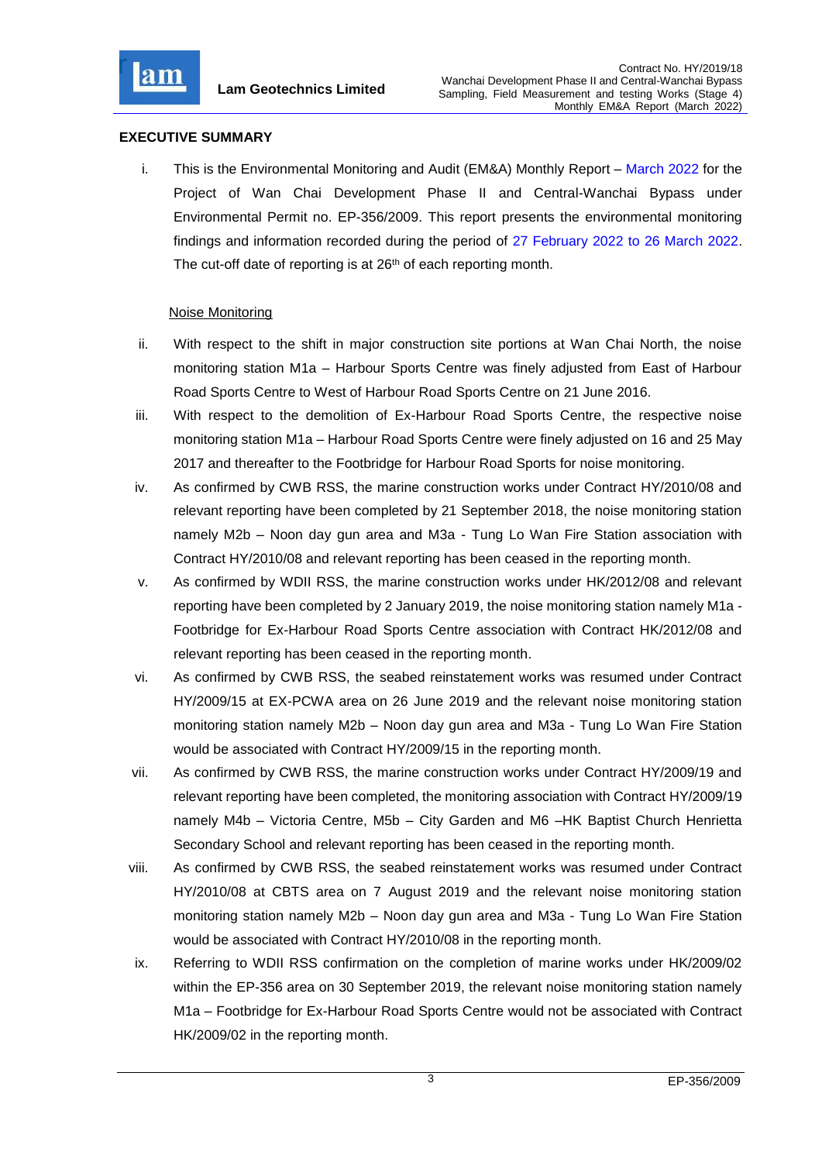

## **EXECUTIVE SUMMARY**

i. This is the Environmental Monitoring and Audit (EM&A) Monthly Report – March 2022 for the Project of Wan Chai Development Phase II and Central-Wanchai Bypass under Environmental Permit no. EP-356/2009. This report presents the environmental monitoring findings and information recorded during the period of 27 February 2022 to 26 March 2022. The cut-off date of reporting is at 26<sup>th</sup> of each reporting month.

### Noise Monitoring

- ii. With respect to the shift in major construction site portions at Wan Chai North, the noise monitoring station M1a – Harbour Sports Centre was finely adjusted from East of Harbour Road Sports Centre to West of Harbour Road Sports Centre on 21 June 2016.
- iii. With respect to the demolition of Ex-Harbour Road Sports Centre, the respective noise monitoring station M1a – Harbour Road Sports Centre were finely adjusted on 16 and 25 May 2017 and thereafter to the Footbridge for Harbour Road Sports for noise monitoring.
- iv. As confirmed by CWB RSS, the marine construction works under Contract HY/2010/08 and relevant reporting have been completed by 21 September 2018, the noise monitoring station namely M2b – Noon day gun area and M3a - Tung Lo Wan Fire Station association with Contract HY/2010/08 and relevant reporting has been ceased in the reporting month.
- v. As confirmed by WDII RSS, the marine construction works under HK/2012/08 and relevant reporting have been completed by 2 January 2019, the noise monitoring station namely M1a - Footbridge for Ex-Harbour Road Sports Centre association with Contract HK/2012/08 and relevant reporting has been ceased in the reporting month.
- vi. As confirmed by CWB RSS, the seabed reinstatement works was resumed under Contract HY/2009/15 at EX-PCWA area on 26 June 2019 and the relevant noise monitoring station monitoring station namely M2b – Noon day gun area and M3a - Tung Lo Wan Fire Station would be associated with Contract HY/2009/15 in the reporting month.
- vii. As confirmed by CWB RSS, the marine construction works under Contract HY/2009/19 and relevant reporting have been completed, the monitoring association with Contract HY/2009/19 namely M4b – Victoria Centre, M5b – City Garden and M6 –HK Baptist Church Henrietta Secondary School and relevant reporting has been ceased in the reporting month.
- viii. As confirmed by CWB RSS, the seabed reinstatement works was resumed under Contract HY/2010/08 at CBTS area on 7 August 2019 and the relevant noise monitoring station monitoring station namely M2b – Noon day gun area and M3a - Tung Lo Wan Fire Station would be associated with Contract HY/2010/08 in the reporting month.
- ix. Referring to WDII RSS confirmation on the completion of marine works under HK/2009/02 within the EP-356 area on 30 September 2019, the relevant noise monitoring station namely M1a – Footbridge for Ex-Harbour Road Sports Centre would not be associated with Contract HK/2009/02 in the reporting month.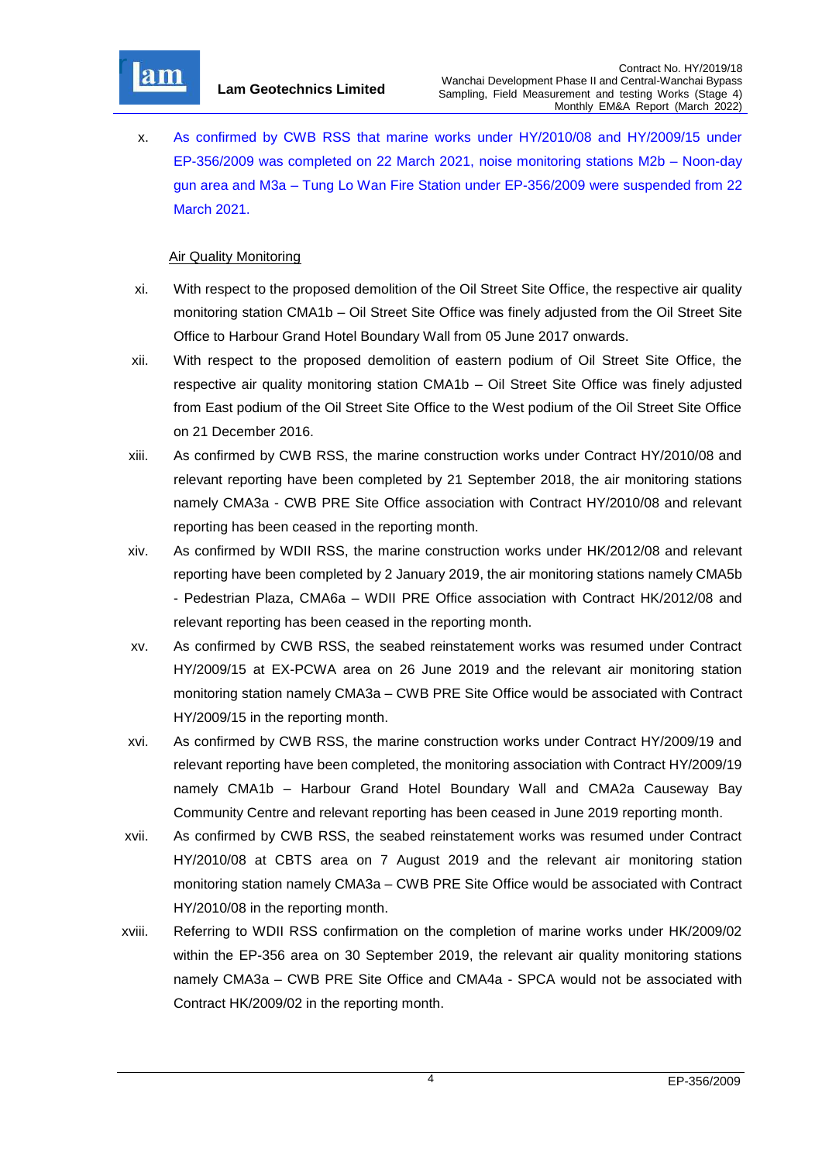

x. As confirmed by CWB RSS that marine works under HY/2010/08 and HY/2009/15 under EP-356/2009 was completed on 22 March 2021, noise monitoring stations M2b – Noon-day gun area and M3a – Tung Lo Wan Fire Station under EP-356/2009 were suspended from 22 March 2021.

## Air Quality Monitoring

- xi. With respect to the proposed demolition of the Oil Street Site Office, the respective air quality monitoring station CMA1b – Oil Street Site Office was finely adjusted from the Oil Street Site Office to Harbour Grand Hotel Boundary Wall from 05 June 2017 onwards.
- xii. With respect to the proposed demolition of eastern podium of Oil Street Site Office, the respective air quality monitoring station CMA1b – Oil Street Site Office was finely adjusted from East podium of the Oil Street Site Office to the West podium of the Oil Street Site Office on 21 December 2016.
- xiii. As confirmed by CWB RSS, the marine construction works under Contract HY/2010/08 and relevant reporting have been completed by 21 September 2018, the air monitoring stations namely CMA3a - CWB PRE Site Office association with Contract HY/2010/08 and relevant reporting has been ceased in the reporting month.
- xiv. As confirmed by WDII RSS, the marine construction works under HK/2012/08 and relevant reporting have been completed by 2 January 2019, the air monitoring stations namely CMA5b - Pedestrian Plaza, CMA6a – WDII PRE Office association with Contract HK/2012/08 and relevant reporting has been ceased in the reporting month.
- xv. As confirmed by CWB RSS, the seabed reinstatement works was resumed under Contract HY/2009/15 at EX-PCWA area on 26 June 2019 and the relevant air monitoring station monitoring station namely CMA3a – CWB PRE Site Office would be associated with Contract HY/2009/15 in the reporting month.
- xvi. As confirmed by CWB RSS, the marine construction works under Contract HY/2009/19 and relevant reporting have been completed, the monitoring association with Contract HY/2009/19 namely CMA1b – Harbour Grand Hotel Boundary Wall and CMA2a Causeway Bay Community Centre and relevant reporting has been ceased in June 2019 reporting month.
- xvii. As confirmed by CWB RSS, the seabed reinstatement works was resumed under Contract HY/2010/08 at CBTS area on 7 August 2019 and the relevant air monitoring station monitoring station namely CMA3a – CWB PRE Site Office would be associated with Contract HY/2010/08 in the reporting month.
- xviii. Referring to WDII RSS confirmation on the completion of marine works under HK/2009/02 within the EP-356 area on 30 September 2019, the relevant air quality monitoring stations namely CMA3a – CWB PRE Site Office and CMA4a - SPCA would not be associated with Contract HK/2009/02 in the reporting month.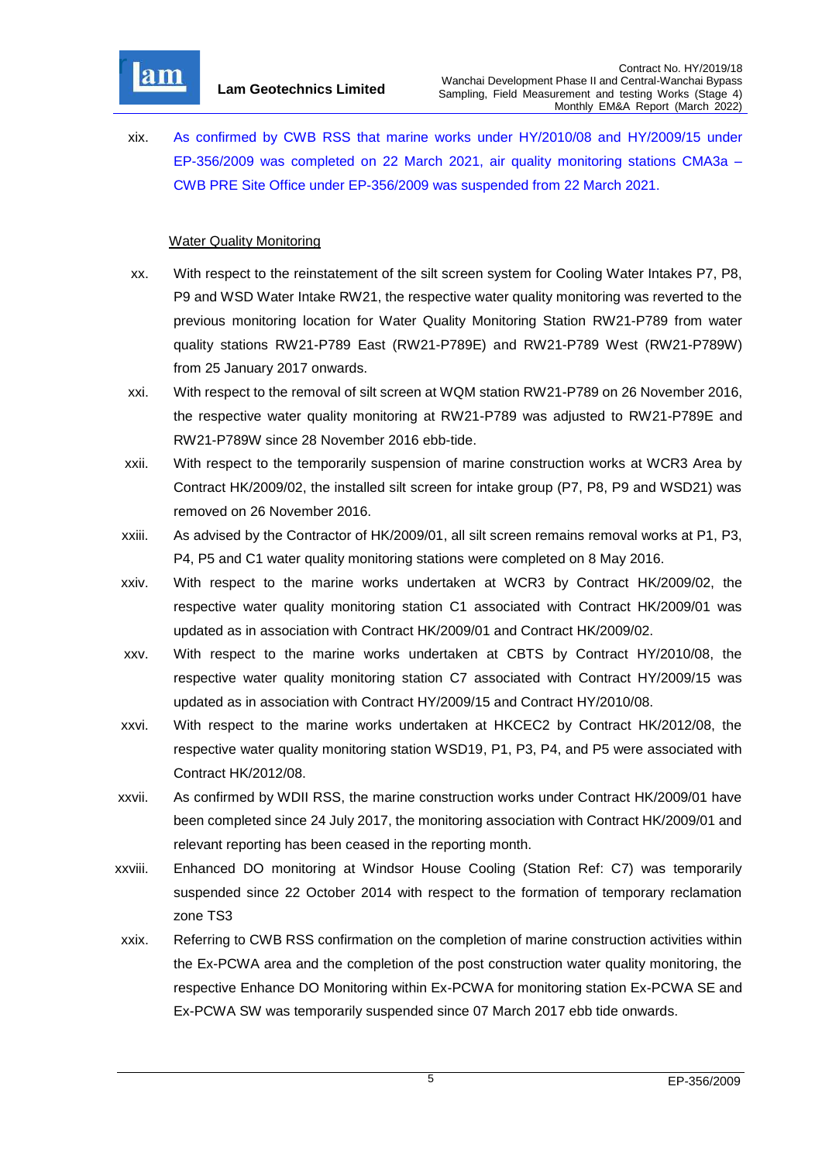

xix. As confirmed by CWB RSS that marine works under HY/2010/08 and HY/2009/15 under EP-356/2009 was completed on 22 March 2021, air quality monitoring stations CMA3a – CWB PRE Site Office under EP-356/2009 was suspended from 22 March 2021.

## **Water Quality Monitoring**

- xx. With respect to the reinstatement of the silt screen system for Cooling Water Intakes P7, P8, P9 and WSD Water Intake RW21, the respective water quality monitoring was reverted to the previous monitoring location for Water Quality Monitoring Station RW21-P789 from water quality stations RW21-P789 East (RW21-P789E) and RW21-P789 West (RW21-P789W) from 25 January 2017 onwards.
- xxi. With respect to the removal of silt screen at WQM station RW21-P789 on 26 November 2016, the respective water quality monitoring at RW21-P789 was adjusted to RW21-P789E and RW21-P789W since 28 November 2016 ebb-tide.
- xxii. With respect to the temporarily suspension of marine construction works at WCR3 Area by Contract HK/2009/02, the installed silt screen for intake group (P7, P8, P9 and WSD21) was removed on 26 November 2016.
- xxiii. As advised by the Contractor of HK/2009/01, all silt screen remains removal works at P1, P3, P4, P5 and C1 water quality monitoring stations were completed on 8 May 2016.
- xxiv. With respect to the marine works undertaken at WCR3 by Contract HK/2009/02, the respective water quality monitoring station C1 associated with Contract HK/2009/01 was updated as in association with Contract HK/2009/01 and Contract HK/2009/02.
- xxv. With respect to the marine works undertaken at CBTS by Contract HY/2010/08, the respective water quality monitoring station C7 associated with Contract HY/2009/15 was updated as in association with Contract HY/2009/15 and Contract HY/2010/08.
- xxvi. With respect to the marine works undertaken at HKCEC2 by Contract HK/2012/08, the respective water quality monitoring station WSD19, P1, P3, P4, and P5 were associated with Contract HK/2012/08.
- xxvii. As confirmed by WDII RSS, the marine construction works under Contract HK/2009/01 have been completed since 24 July 2017, the monitoring association with Contract HK/2009/01 and relevant reporting has been ceased in the reporting month.
- xxviii. Enhanced DO monitoring at Windsor House Cooling (Station Ref: C7) was temporarily suspended since 22 October 2014 with respect to the formation of temporary reclamation zone TS3
- xxix. Referring to CWB RSS confirmation on the completion of marine construction activities within the Ex-PCWA area and the completion of the post construction water quality monitoring, the respective Enhance DO Monitoring within Ex-PCWA for monitoring station Ex-PCWA SE and Ex-PCWA SW was temporarily suspended since 07 March 2017 ebb tide onwards.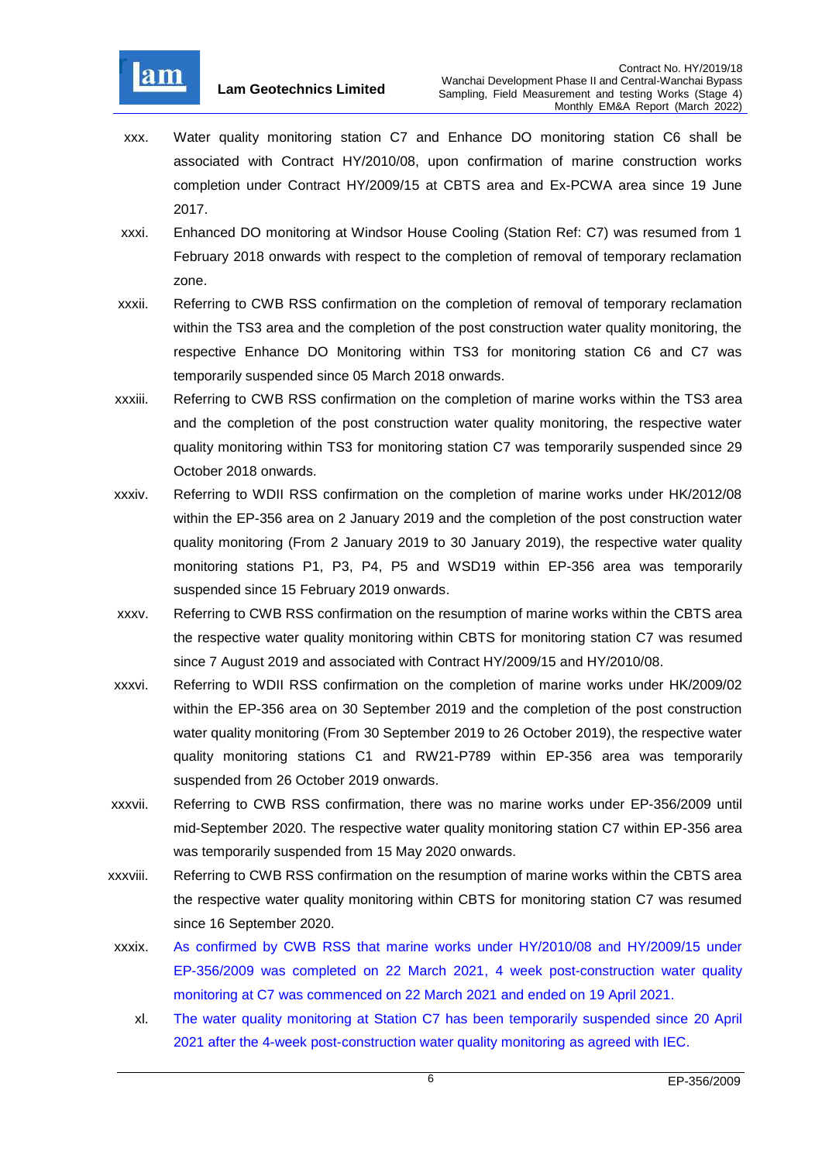

- xxx. Water quality monitoring station C7 and Enhance DO monitoring station C6 shall be associated with Contract HY/2010/08, upon confirmation of marine construction works completion under Contract HY/2009/15 at CBTS area and Ex-PCWA area since 19 June 2017.
- xxxi. Enhanced DO monitoring at Windsor House Cooling (Station Ref: C7) was resumed from 1 February 2018 onwards with respect to the completion of removal of temporary reclamation zone.
- xxxii. Referring to CWB RSS confirmation on the completion of removal of temporary reclamation within the TS3 area and the completion of the post construction water quality monitoring, the respective Enhance DO Monitoring within TS3 for monitoring station C6 and C7 was temporarily suspended since 05 March 2018 onwards.
- xxxiii. Referring to CWB RSS confirmation on the completion of marine works within the TS3 area and the completion of the post construction water quality monitoring, the respective water quality monitoring within TS3 for monitoring station C7 was temporarily suspended since 29 October 2018 onwards.
- xxxiv. Referring to WDII RSS confirmation on the completion of marine works under HK/2012/08 within the EP-356 area on 2 January 2019 and the completion of the post construction water quality monitoring (From 2 January 2019 to 30 January 2019), the respective water quality monitoring stations P1, P3, P4, P5 and WSD19 within EP-356 area was temporarily suspended since 15 February 2019 onwards.
- xxxv. Referring to CWB RSS confirmation on the resumption of marine works within the CBTS area the respective water quality monitoring within CBTS for monitoring station C7 was resumed since 7 August 2019 and associated with Contract HY/2009/15 and HY/2010/08.
- xxxvi. Referring to WDII RSS confirmation on the completion of marine works under HK/2009/02 within the EP-356 area on 30 September 2019 and the completion of the post construction water quality monitoring (From 30 September 2019 to 26 October 2019), the respective water quality monitoring stations C1 and RW21-P789 within EP-356 area was temporarily suspended from 26 October 2019 onwards.
- xxxvii. Referring to CWB RSS confirmation, there was no marine works under EP-356/2009 until mid-September 2020. The respective water quality monitoring station C7 within EP-356 area was temporarily suspended from 15 May 2020 onwards.
- xxxviii. Referring to CWB RSS confirmation on the resumption of marine works within the CBTS area the respective water quality monitoring within CBTS for monitoring station C7 was resumed since 16 September 2020.
- xxxix. As confirmed by CWB RSS that marine works under HY/2010/08 and HY/2009/15 under EP-356/2009 was completed on 22 March 2021, 4 week post-construction water quality monitoring at C7 was commenced on 22 March 2021 and ended on 19 April 2021.
	- xl. The water quality monitoring at Station C7 has been temporarily suspended since 20 April 2021 after the 4-week post-construction water quality monitoring as agreed with IEC.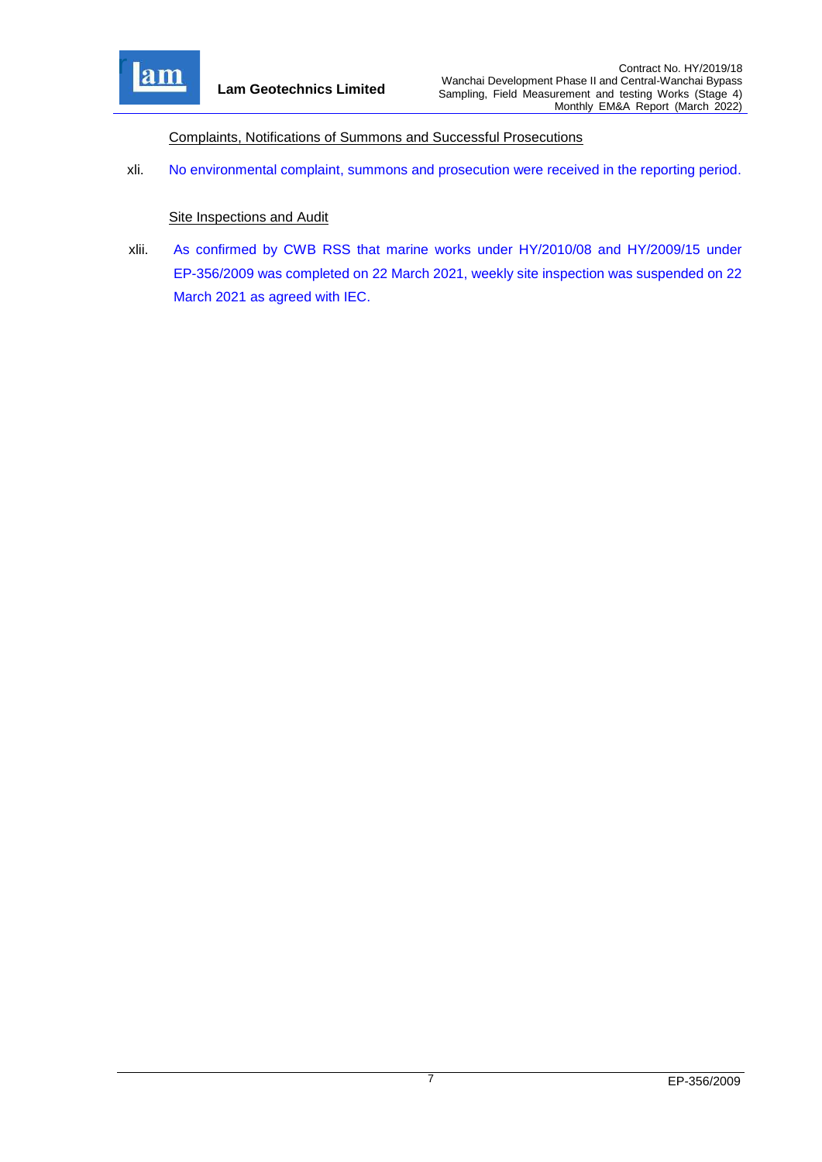

Complaints, Notifications of Summons and Successful Prosecutions

xli. No environmental complaint, summons and prosecution were received in the reporting period.

#### **Site Inspections and Audit**

xlii. As confirmed by CWB RSS that marine works under HY/2010/08 and HY/2009/15 under EP-356/2009 was completed on 22 March 2021, weekly site inspection was suspended on 22 March 2021 as agreed with IEC.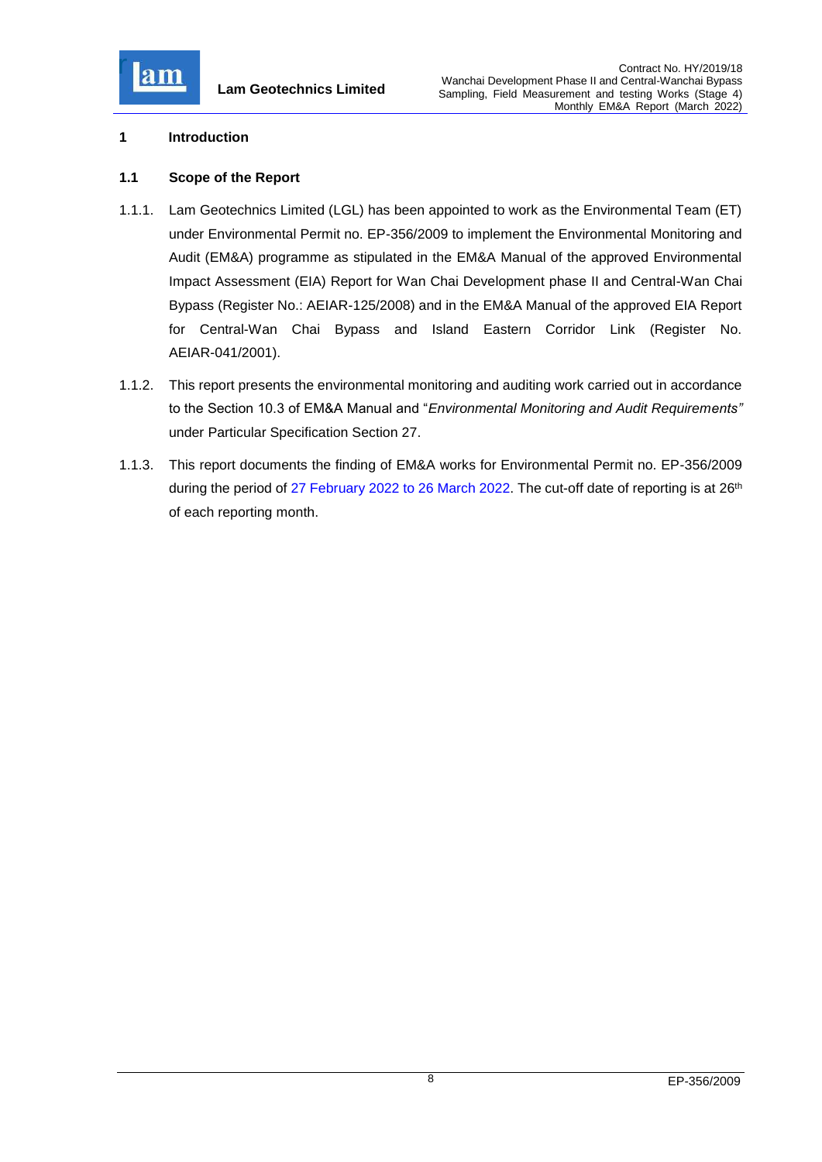

### <span id="page-8-0"></span>**1 Introduction**

### <span id="page-8-1"></span>**1.1 Scope of the Report**

- 1.1.1. Lam Geotechnics Limited (LGL) has been appointed to work as the Environmental Team (ET) under Environmental Permit no. EP-356/2009 to implement the Environmental Monitoring and Audit (EM&A) programme as stipulated in the EM&A Manual of the approved Environmental Impact Assessment (EIA) Report for Wan Chai Development phase II and Central-Wan Chai Bypass (Register No.: AEIAR-125/2008) and in the EM&A Manual of the approved EIA Report for Central-Wan Chai Bypass and Island Eastern Corridor Link (Register No. AEIAR-041/2001).
- 1.1.2. This report presents the environmental monitoring and auditing work carried out in accordance to the Section 10.3 of EM&A Manual and "*Environmental Monitoring and Audit Requirements"* under Particular Specification Section 27.
- 1.1.3. This report documents the finding of EM&A works for Environmental Permit no. EP-356/2009 during the period of 27 February 2022 to 26 March 2022. The cut-off date of reporting is at 26<sup>th</sup> of each reporting month.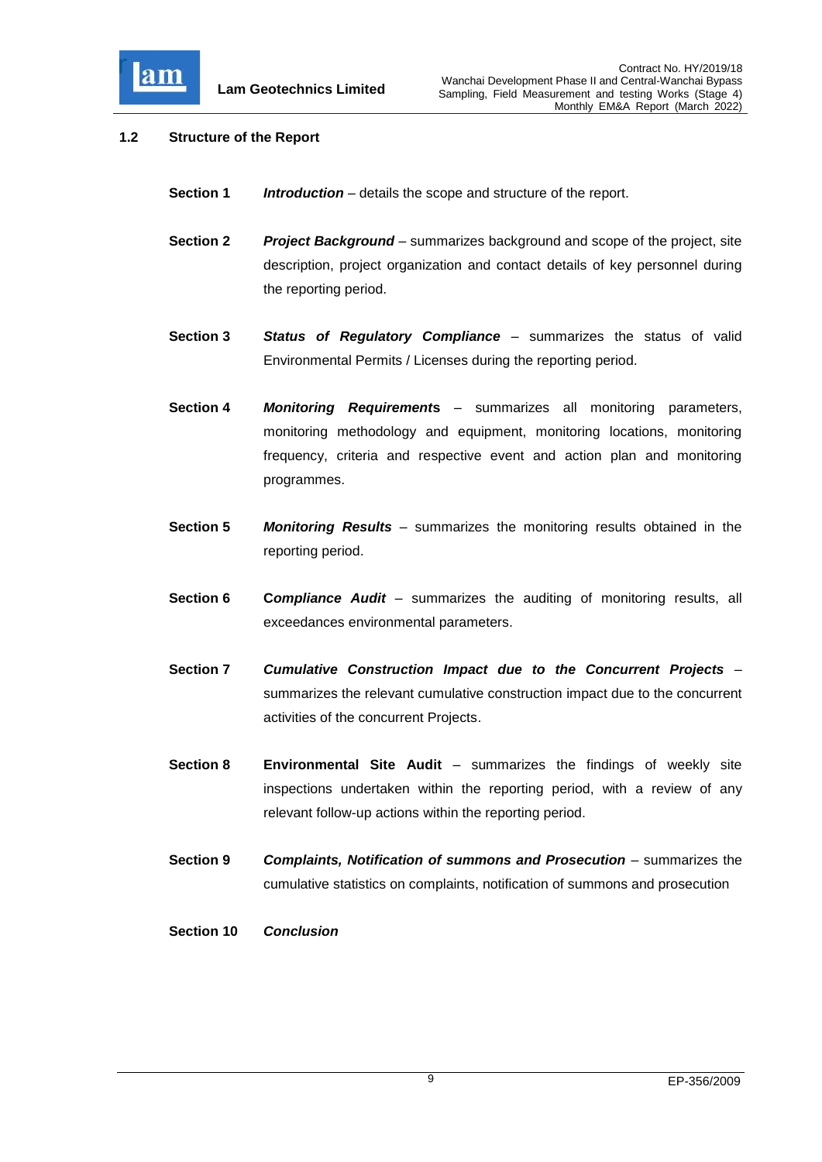

## <span id="page-9-0"></span>**1.2 Structure of the Report**

- **Section 1** *Introduction* details the scope and structure of the report.
- **Section 2** *Project Background* summarizes background and scope of the project, site description, project organization and contact details of key personnel during the reporting period.
- **Section 3** *Status of Regulatory Compliance* summarizes the status of valid Environmental Permits / Licenses during the reporting period.
- **Section 4** *Monitoring Requirement***s** summarizes all monitoring parameters, monitoring methodology and equipment, monitoring locations, monitoring frequency, criteria and respective event and action plan and monitoring programmes.
- **Section 5** *Monitoring Results* summarizes the monitoring results obtained in the reporting period.
- **Section 6 C***ompliance Audit* summarizes the auditing of monitoring results, all exceedances environmental parameters.
- **Section 7** *Cumulative Construction Impact due to the Concurrent Projects*  summarizes the relevant cumulative construction impact due to the concurrent activities of the concurrent Projects.
- **Section 8 Environmental Site Audit** summarizes the findings of weekly site inspections undertaken within the reporting period, with a review of any relevant follow-up actions within the reporting period.
- **Section 9** *Complaints, Notification of summons and Prosecution summarizes the* cumulative statistics on complaints, notification of summons and prosecution
- **Section 10** *Conclusion*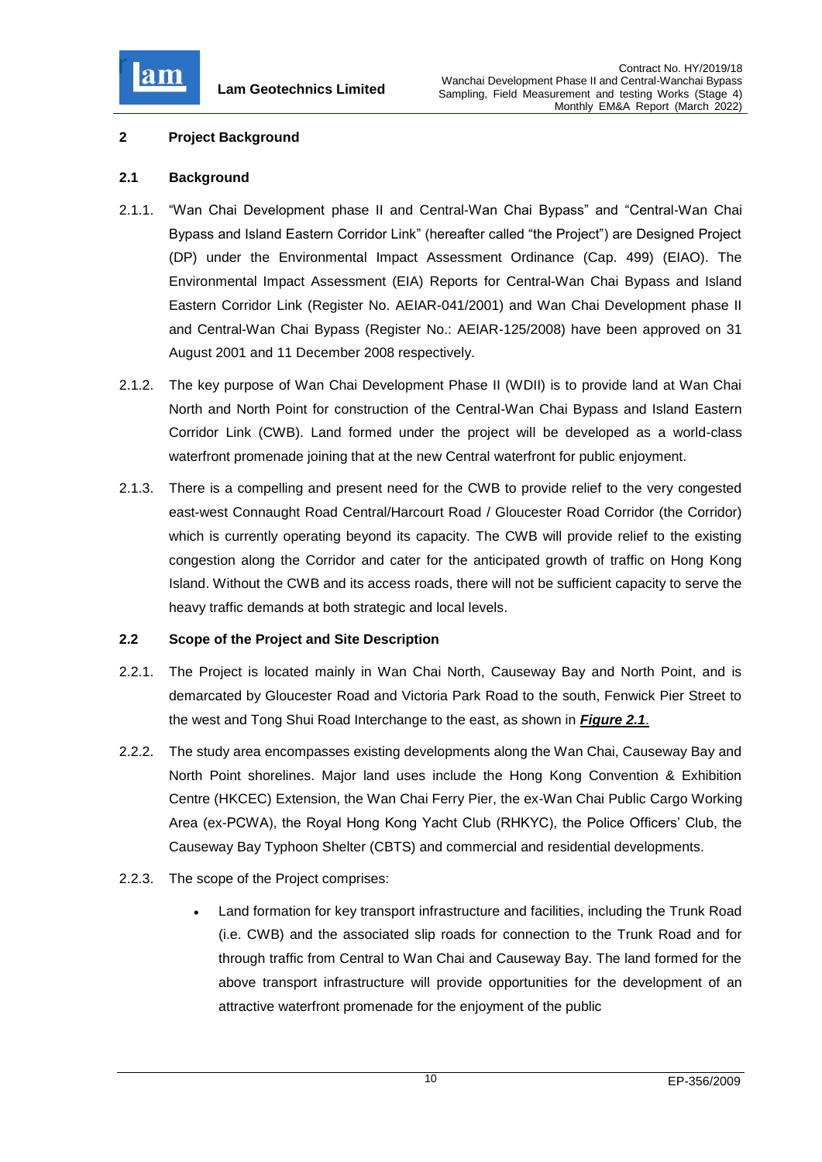

## <span id="page-10-0"></span>**2 Project Background**

### <span id="page-10-1"></span>**2.1 Background**

- 2.1.1. "Wan Chai Development phase II and Central-Wan Chai Bypass" and "Central-Wan Chai Bypass and Island Eastern Corridor Link" (hereafter called "the Project") are Designed Project (DP) under the Environmental Impact Assessment Ordinance (Cap. 499) (EIAO). The Environmental Impact Assessment (EIA) Reports for Central-Wan Chai Bypass and Island Eastern Corridor Link (Register No. AEIAR-041/2001) and Wan Chai Development phase II and Central-Wan Chai Bypass (Register No.: AEIAR-125/2008) have been approved on 31 August 2001 and 11 December 2008 respectively.
- 2.1.2. The key purpose of Wan Chai Development Phase II (WDII) is to provide land at Wan Chai North and North Point for construction of the Central-Wan Chai Bypass and Island Eastern Corridor Link (CWB). Land formed under the project will be developed as a world-class waterfront promenade joining that at the new Central waterfront for public enjoyment.
- 2.1.3. There is a compelling and present need for the CWB to provide relief to the very congested east-west Connaught Road Central/Harcourt Road / Gloucester Road Corridor (the Corridor) which is currently operating beyond its capacity. The CWB will provide relief to the existing congestion along the Corridor and cater for the anticipated growth of traffic on Hong Kong Island. Without the CWB and its access roads, there will not be sufficient capacity to serve the heavy traffic demands at both strategic and local levels.

### <span id="page-10-2"></span>**2.2 Scope of the Project and Site Description**

- 2.2.1. The Project is located mainly in Wan Chai North, Causeway Bay and North Point, and is demarcated by Gloucester Road and Victoria Park Road to the south, Fenwick Pier Street to the west and Tong Shui Road Interchange to the east, as shown in *[Figure 2.1](file:///C:/Users/porsia/Desktop/Attachment/Fig%202.1_Project%20Layout.pdf)*.
- 2.2.2. The study area encompasses existing developments along the Wan Chai, Causeway Bay and North Point shorelines. Major land uses include the Hong Kong Convention & Exhibition Centre (HKCEC) Extension, the Wan Chai Ferry Pier, the ex-Wan Chai Public Cargo Working Area (ex-PCWA), the Royal Hong Kong Yacht Club (RHKYC), the Police Officers' Club, the Causeway Bay Typhoon Shelter (CBTS) and commercial and residential developments.
- 2.2.3. The scope of the Project comprises:
	- Land formation for key transport infrastructure and facilities, including the Trunk Road (i.e. CWB) and the associated slip roads for connection to the Trunk Road and for through traffic from Central to Wan Chai and Causeway Bay. The land formed for the above transport infrastructure will provide opportunities for the development of an attractive waterfront promenade for the enjoyment of the public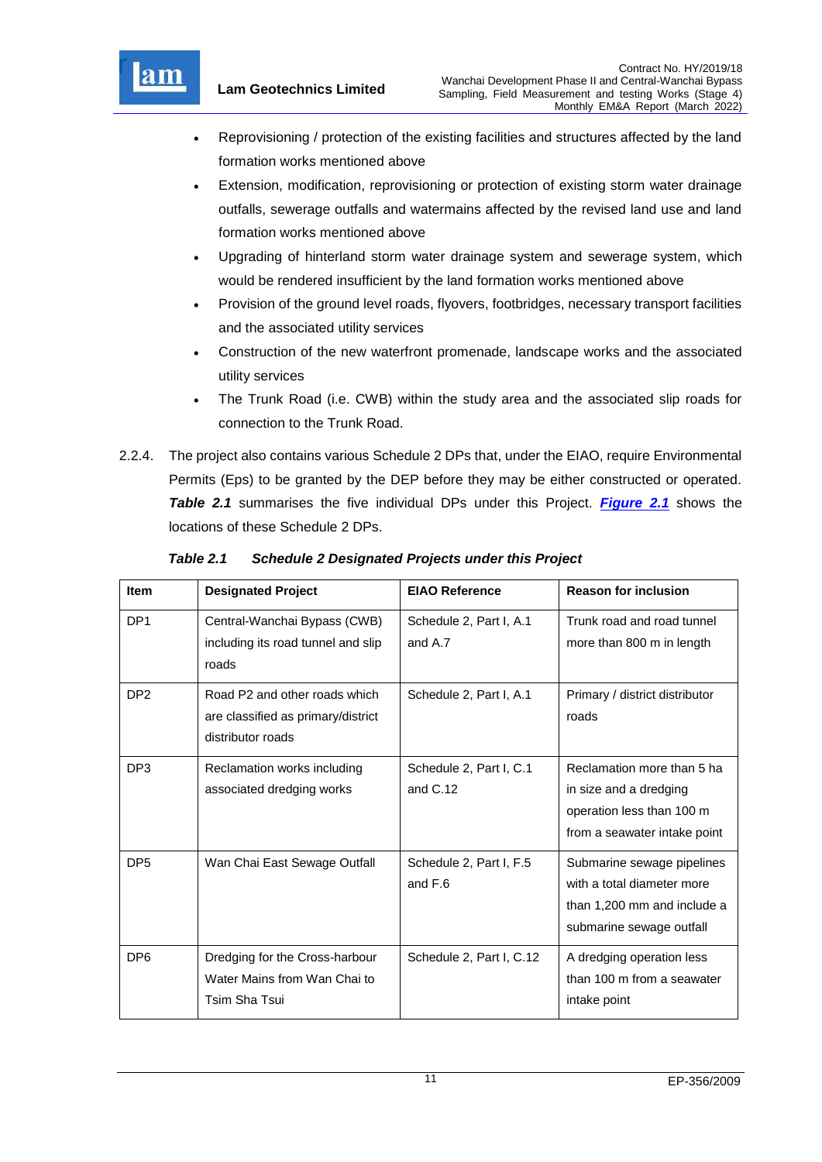

- Reprovisioning / protection of the existing facilities and structures affected by the land formation works mentioned above
- Extension, modification, reprovisioning or protection of existing storm water drainage outfalls, sewerage outfalls and watermains affected by the revised land use and land formation works mentioned above
- Upgrading of hinterland storm water drainage system and sewerage system, which would be rendered insufficient by the land formation works mentioned above
- Provision of the ground level roads, flyovers, footbridges, necessary transport facilities and the associated utility services
- Construction of the new waterfront promenade, landscape works and the associated utility services
- The Trunk Road (i.e. CWB) within the study area and the associated slip roads for connection to the Trunk Road.
- 2.2.4. The project also contains various Schedule 2 DPs that, under the EIAO, require Environmental Permits (Eps) to be granted by the DEP before they may be either constructed or operated. *Table 2.1* summarises the five individual DPs under this Project. *[Figure 2.1](file:///C:/Users/porsia/Desktop/Attachment/Fig%202.1_Project%20Layout.pdf)* shows the locations of these Schedule 2 DPs.

| <b>Item</b>     | <b>Designated Project</b>                                                                | <b>EIAO Reference</b>                 | <b>Reason for inclusion</b>                                                                                         |
|-----------------|------------------------------------------------------------------------------------------|---------------------------------------|---------------------------------------------------------------------------------------------------------------------|
| DP <sub>1</sub> | Central-Wanchai Bypass (CWB)<br>including its road tunnel and slip<br>roads              | Schedule 2, Part I, A.1<br>and A.7    | Trunk road and road tunnel<br>more than 800 m in length                                                             |
| DP <sub>2</sub> | Road P2 and other roads which<br>are classified as primary/district<br>distributor roads | Schedule 2, Part I, A.1               | Primary / district distributor<br>roads                                                                             |
| DP <sub>3</sub> | Reclamation works including<br>associated dredging works                                 | Schedule 2, Part I, C.1<br>and $C.12$ | Reclamation more than 5 ha<br>in size and a dredging<br>operation less than 100 m<br>from a seawater intake point   |
| DP <sub>5</sub> | Wan Chai East Sewage Outfall                                                             | Schedule 2, Part I, F.5<br>and F.6    | Submarine sewage pipelines<br>with a total diameter more<br>than 1,200 mm and include a<br>submarine sewage outfall |
| DP <sub>6</sub> | Dredging for the Cross-harbour<br>Water Mains from Wan Chai to<br>Tsim Sha Tsui          | Schedule 2, Part I, C.12              | A dredging operation less<br>than 100 m from a seawater<br>intake point                                             |

<span id="page-11-0"></span>*Table 2.1 Schedule 2 Designated Projects under this Project*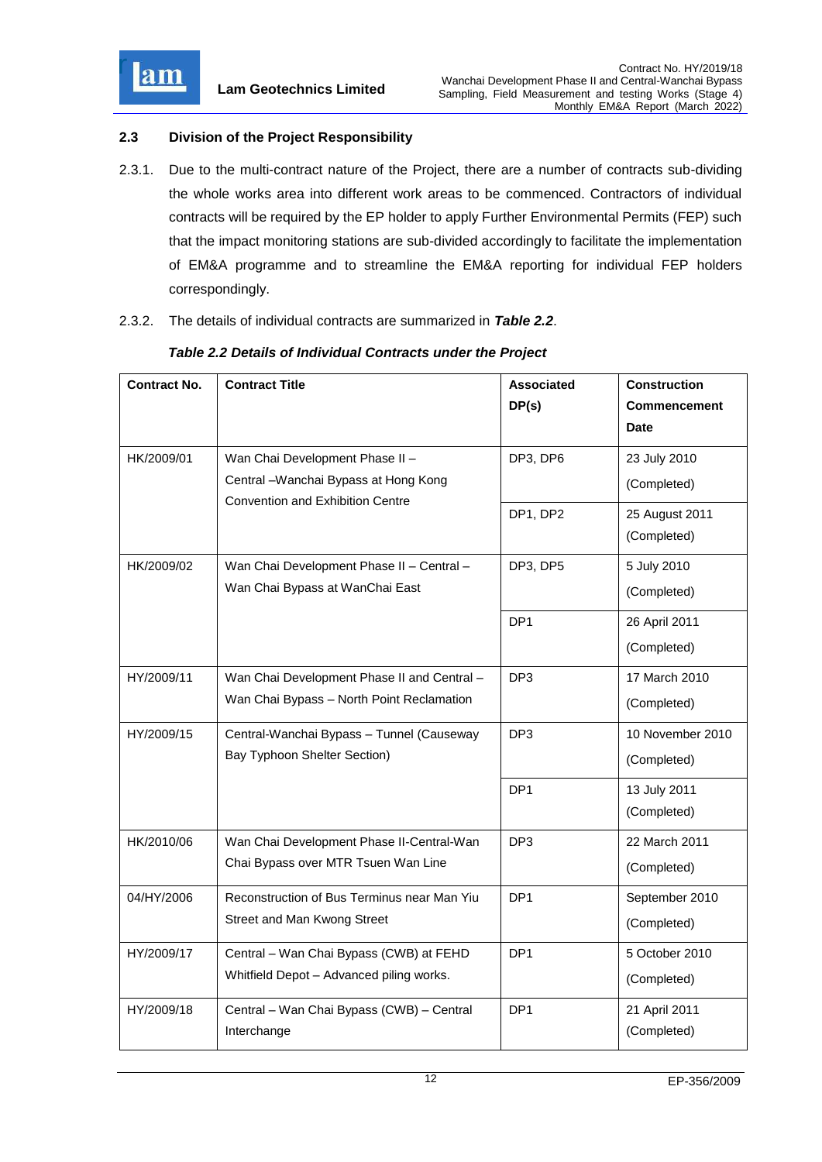

## <span id="page-12-0"></span>**2.3 Division of the Project Responsibility**

- 2.3.1. Due to the multi-contract nature of the Project, there are a number of contracts sub-dividing the whole works area into different work areas to be commenced. Contractors of individual contracts will be required by the EP holder to apply Further Environmental Permits (FEP) such that the impact monitoring stations are sub-divided accordingly to facilitate the implementation of EM&A programme and to streamline the EM&A reporting for individual FEP holders correspondingly.
- 2.3.2. The details of individual contracts are summarized in *Table 2.2*.

| <b>Contract No.</b> | <b>Contract Title</b>                       | <b>Associated</b> | <b>Construction</b> |
|---------------------|---------------------------------------------|-------------------|---------------------|
|                     |                                             | DP(s)             | Commencement        |
|                     |                                             |                   | <b>Date</b>         |
| HK/2009/01          | Wan Chai Development Phase II -             | DP3, DP6          | 23 July 2010        |
|                     | Central - Wanchai Bypass at Hong Kong       |                   | (Completed)         |
|                     | <b>Convention and Exhibition Centre</b>     | DP1, DP2          | 25 August 2011      |
|                     |                                             |                   | (Completed)         |
| HK/2009/02          | Wan Chai Development Phase II - Central -   | DP3, DP5          | 5 July 2010         |
|                     | Wan Chai Bypass at WanChai East             |                   | (Completed)         |
|                     |                                             | DP <sub>1</sub>   | 26 April 2011       |
|                     |                                             |                   | (Completed)         |
| HY/2009/11          | Wan Chai Development Phase II and Central - | DP <sub>3</sub>   | 17 March 2010       |
|                     | Wan Chai Bypass - North Point Reclamation   |                   | (Completed)         |
| HY/2009/15          | Central-Wanchai Bypass - Tunnel (Causeway   | DP <sub>3</sub>   | 10 November 2010    |
|                     | Bay Typhoon Shelter Section)                |                   | (Completed)         |
|                     |                                             | DP <sub>1</sub>   | 13 July 2011        |
|                     |                                             |                   | (Completed)         |
| HK/2010/06          | Wan Chai Development Phase II-Central-Wan   | DP <sub>3</sub>   | 22 March 2011       |
|                     | Chai Bypass over MTR Tsuen Wan Line         |                   | (Completed)         |
| 04/HY/2006          | Reconstruction of Bus Terminus near Man Yiu | DP <sub>1</sub>   | September 2010      |
|                     | Street and Man Kwong Street                 |                   | (Completed)         |
| HY/2009/17          | Central - Wan Chai Bypass (CWB) at FEHD     | DP <sub>1</sub>   | 5 October 2010      |
|                     | Whitfield Depot - Advanced piling works.    |                   | (Completed)         |
| HY/2009/18          | Central - Wan Chai Bypass (CWB) - Central   | DP <sub>1</sub>   | 21 April 2011       |
|                     | Interchange                                 |                   | (Completed)         |

### <span id="page-12-1"></span>*Table 2.2 Details of Individual Contracts under the Project*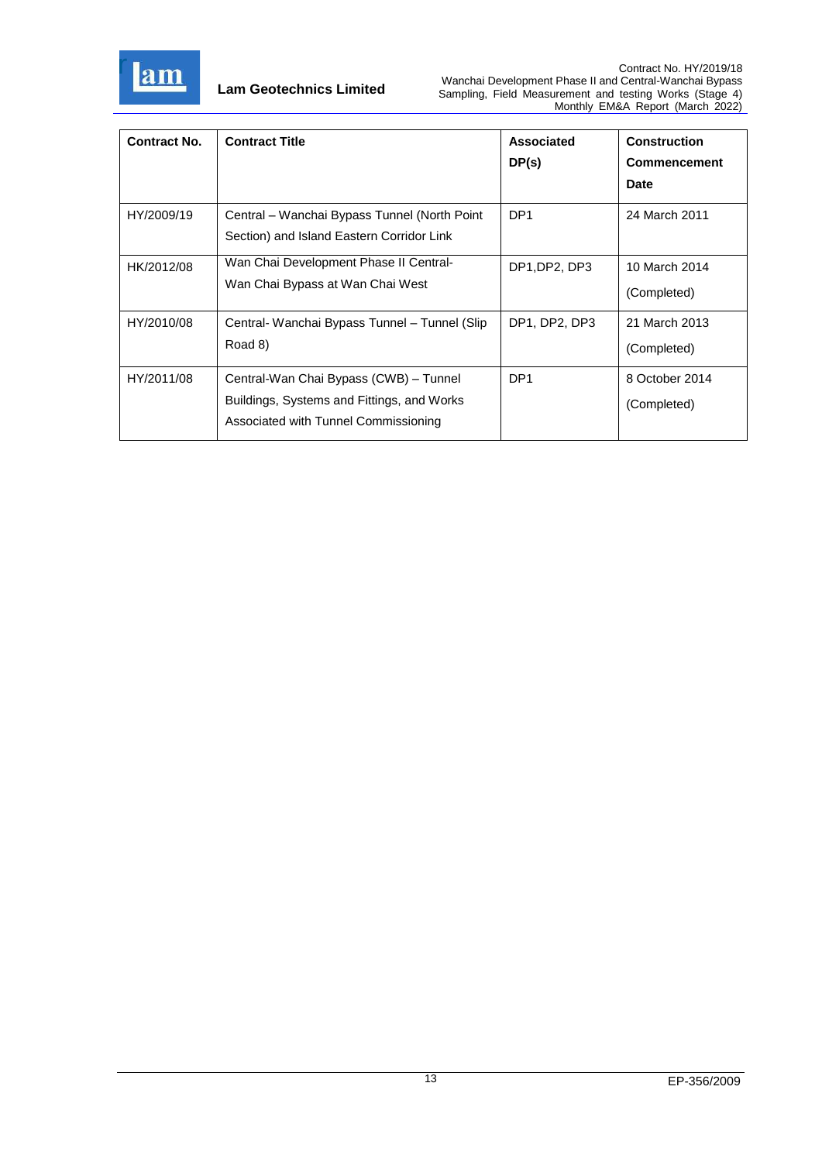

| <b>Contract No.</b> | <b>Contract Title</b>                                                                                                        | Associated<br>DP(s) | <b>Construction</b><br><b>Commencement</b><br><b>Date</b> |
|---------------------|------------------------------------------------------------------------------------------------------------------------------|---------------------|-----------------------------------------------------------|
| HY/2009/19          | Central – Wanchai Bypass Tunnel (North Point<br>Section) and Island Eastern Corridor Link                                    | DP <sub>1</sub>     | 24 March 2011                                             |
| HK/2012/08          | Wan Chai Development Phase II Central-<br>Wan Chai Bypass at Wan Chai West                                                   | DP1, DP2, DP3       | 10 March 2014<br>(Completed)                              |
| HY/2010/08          | Central- Wanchai Bypass Tunnel – Tunnel (Slip<br>Road 8)                                                                     | DP1, DP2, DP3       | 21 March 2013<br>(Completed)                              |
| HY/2011/08          | Central-Wan Chai Bypass (CWB) - Tunnel<br>Buildings, Systems and Fittings, and Works<br>Associated with Tunnel Commissioning | DP <sub>1</sub>     | 8 October 2014<br>(Completed)                             |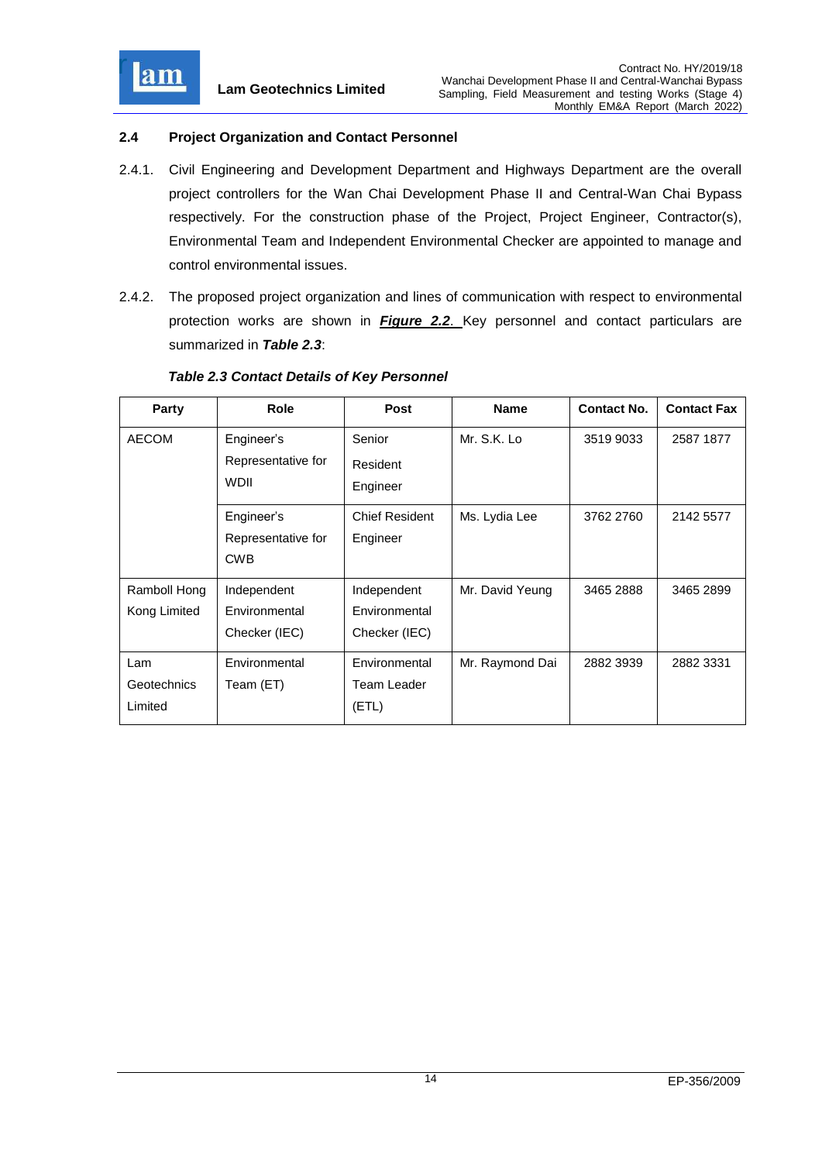

r<sub>i</sub> Bea~y

## <span id="page-14-0"></span>**2.4 Project Organization and Contact Personnel**

- 2.4.1. Civil Engineering and Development Department and Highways Department are the overall project controllers for the Wan Chai Development Phase II and Central-Wan Chai Bypass respectively. For the construction phase of the Project, Project Engineer, Contractor(s), Environmental Team and Independent Environmental Checker are appointed to manage and control environmental issues.
- 2.4.2. The proposed project organization and lines of communication with respect to environmental protection works are shown in *[Figure 2.2](file:///C:/Users/porsia/Desktop/Attachment/Fig%202.2%20Project%20Organization%20Chart.pdf)*. Key personnel and contact particulars are summarized in *Table 2.3*:

| Party        | Role               | Post                  | <b>Name</b>     | <b>Contact No.</b> | <b>Contact Fax</b> |
|--------------|--------------------|-----------------------|-----------------|--------------------|--------------------|
| <b>AECOM</b> | Engineer's         | Senior                | Mr. S.K. Lo     | 3519 9033          | 2587 1877          |
|              | Representative for | Resident              |                 |                    |                    |
|              | <b>WDII</b>        | Engineer              |                 |                    |                    |
|              | Engineer's         | <b>Chief Resident</b> | Ms. Lydia Lee   | 3762 2760          | 2142 5577          |
|              | Representative for | Engineer              |                 |                    |                    |
|              | <b>CWB</b>         |                       |                 |                    |                    |
| Ramboll Hong | Independent        | Independent           | Mr. David Yeung | 3465 2888          | 3465 2899          |
| Kong Limited | Environmental      | Environmental         |                 |                    |                    |
|              | Checker (IEC)      | Checker (IEC)         |                 |                    |                    |
| Lam          | Environmental      | Environmental         | Mr. Raymond Dai | 2882 3939          | 2882 3331          |
| Geotechnics  | Team (ET)          | Team Leader           |                 |                    |                    |
| Limited      |                    | (ETL)                 |                 |                    |                    |

### <span id="page-14-1"></span>*Table 2.3 Contact Details of Key Personnel*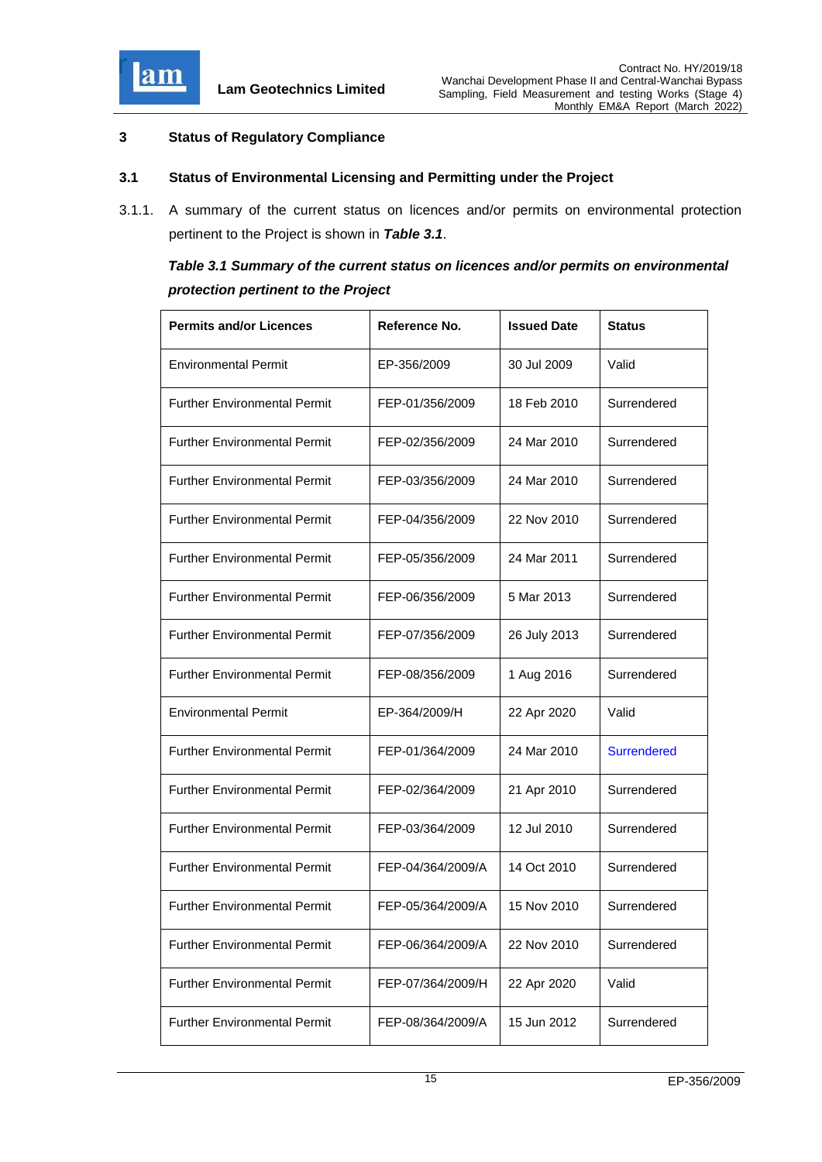

## <span id="page-15-0"></span>**3 Status of Regulatory Compliance**

### <span id="page-15-1"></span>**3.1 Status of Environmental Licensing and Permitting under the Project**

3.1.1. A summary of the current status on licences and/or permits on environmental protection pertinent to the Project is shown in *Table 3.1*.

# <span id="page-15-2"></span>*Table 3.1 Summary of the current status on licences and/or permits on environmental protection pertinent to the Project*

| <b>Permits and/or Licences</b>      | Reference No.     | <b>Issued Date</b> | <b>Status</b>      |
|-------------------------------------|-------------------|--------------------|--------------------|
| <b>Environmental Permit</b>         | EP-356/2009       | 30 Jul 2009        | Valid              |
| <b>Further Environmental Permit</b> | FEP-01/356/2009   | 18 Feb 2010        | Surrendered        |
| <b>Further Environmental Permit</b> | FEP-02/356/2009   | 24 Mar 2010        | Surrendered        |
| <b>Further Environmental Permit</b> | FEP-03/356/2009   | 24 Mar 2010        | Surrendered        |
| <b>Further Environmental Permit</b> | FEP-04/356/2009   | 22 Nov 2010        | Surrendered        |
| <b>Further Environmental Permit</b> | FEP-05/356/2009   | 24 Mar 2011        | Surrendered        |
| <b>Further Environmental Permit</b> | FEP-06/356/2009   | 5 Mar 2013         | Surrendered        |
| <b>Further Environmental Permit</b> | FEP-07/356/2009   | 26 July 2013       | Surrendered        |
| <b>Further Environmental Permit</b> | FEP-08/356/2009   | 1 Aug 2016         | Surrendered        |
| <b>Environmental Permit</b>         | EP-364/2009/H     | 22 Apr 2020        | Valid              |
| <b>Further Environmental Permit</b> | FEP-01/364/2009   | 24 Mar 2010        | <b>Surrendered</b> |
| <b>Further Environmental Permit</b> | FEP-02/364/2009   | 21 Apr 2010        | Surrendered        |
| <b>Further Environmental Permit</b> | FEP-03/364/2009   | 12 Jul 2010        | Surrendered        |
| <b>Further Environmental Permit</b> | FEP-04/364/2009/A | 14 Oct 2010        | Surrendered        |
| <b>Further Environmental Permit</b> | FEP-05/364/2009/A | 15 Nov 2010        | Surrendered        |
| <b>Further Environmental Permit</b> | FEP-06/364/2009/A | 22 Nov 2010        | Surrendered        |
| <b>Further Environmental Permit</b> | FEP-07/364/2009/H | 22 Apr 2020        | Valid              |
| <b>Further Environmental Permit</b> | FEP-08/364/2009/A | 15 Jun 2012        | Surrendered        |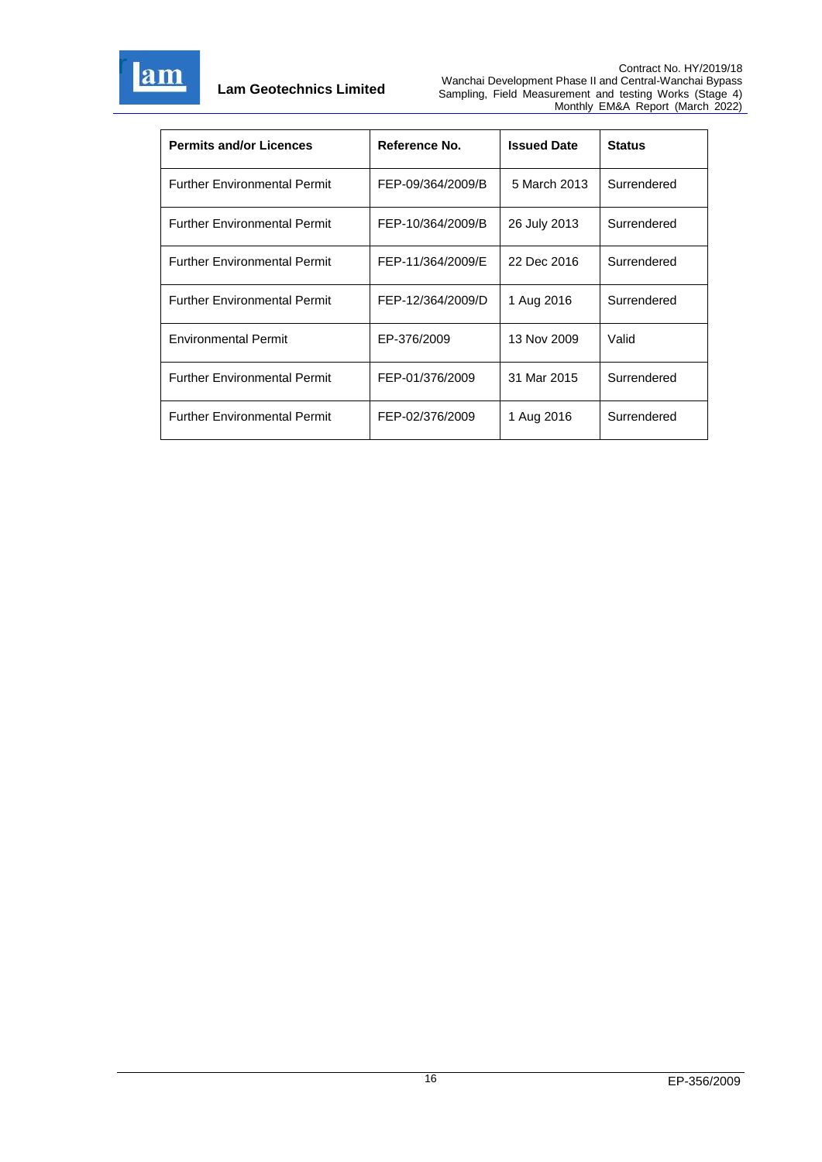

| <b>Permits and/or Licences</b>      | Reference No.     | <b>Issued Date</b> | <b>Status</b> |
|-------------------------------------|-------------------|--------------------|---------------|
| <b>Further Environmental Permit</b> | FEP-09/364/2009/B | 5 March 2013       | Surrendered   |
| <b>Further Environmental Permit</b> | FEP-10/364/2009/B | 26 July 2013       | Surrendered   |
| <b>Further Environmental Permit</b> | FEP-11/364/2009/E | 22 Dec 2016        | Surrendered   |
| <b>Further Environmental Permit</b> | FEP-12/364/2009/D | 1 Aug 2016         | Surrendered   |
| <b>Environmental Permit</b>         | EP-376/2009       | 13 Nov 2009        | Valid         |
| <b>Further Environmental Permit</b> | FEP-01/376/2009   | 31 Mar 2015        | Surrendered   |
| <b>Further Environmental Permit</b> | FEP-02/376/2009   | 1 Aug 2016         | Surrendered   |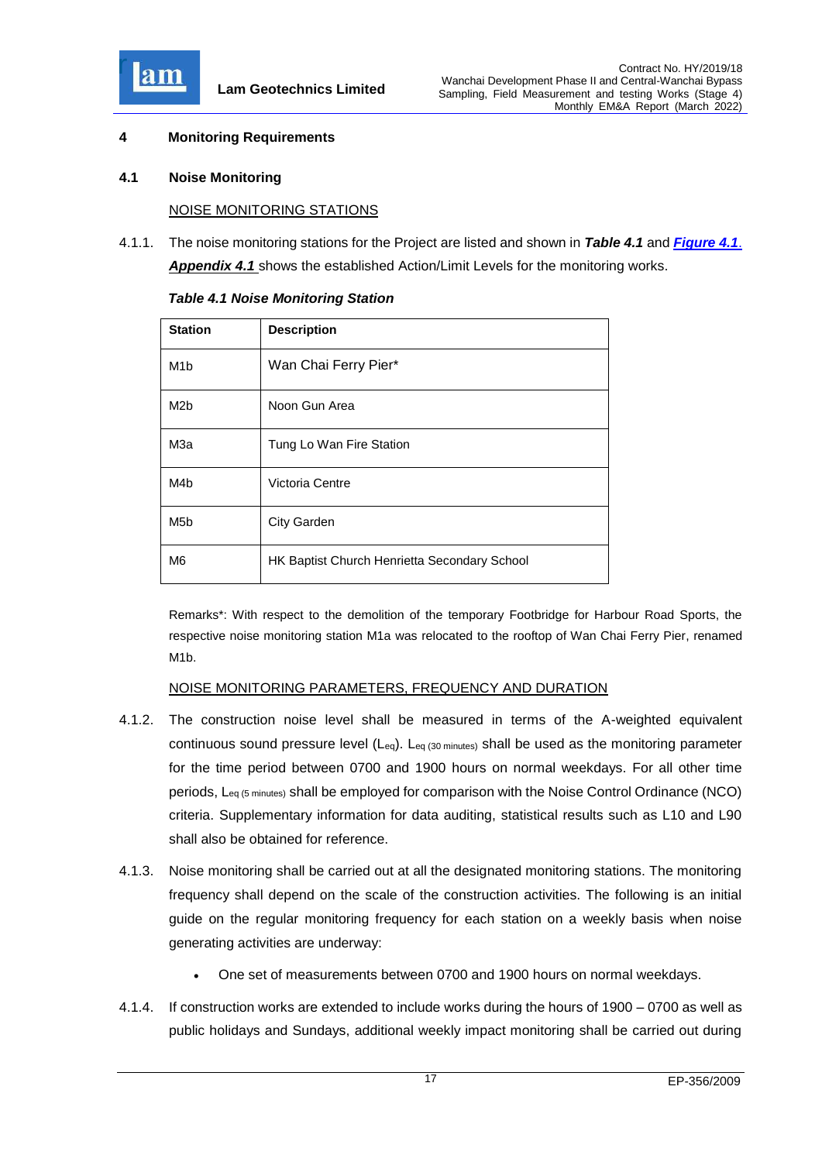

## <span id="page-17-0"></span>**4 Monitoring Requirements**

### <span id="page-17-1"></span>**4.1 Noise Monitoring**

### NOISE MONITORING STATIONS

4.1.1. The noise monitoring stations for the Project are listed and shown in *Table 4.1* and *[Figure 4.1](file:///C:/Users/porsia/Desktop/Attachment/Fig%204.1_Location%20of%20monitoring%20stations.pdf)*. *[Appendix 4.1](file:///C:/Users/kcchan/AppData/Roaming/Microsoft/Attachment/App4.1%20Action%20and%20Limit%20Level.pdf)* shows the established Action/Limit Levels for the monitoring works.

| <b>Station</b>   | <b>Description</b>                           |
|------------------|----------------------------------------------|
| M <sub>1</sub> b | Wan Chai Ferry Pier*                         |
| M <sub>2b</sub>  | Noon Gun Area                                |
| МЗа              | Tung Lo Wan Fire Station                     |
| M4b              | Victoria Centre                              |
| M <sub>5</sub> b | <b>City Garden</b>                           |
| M6               | HK Baptist Church Henrietta Secondary School |

<span id="page-17-2"></span>*Table 4.1 Noise Monitoring Station*

Remarks\*: With respect to the demolition of the temporary Footbridge for Harbour Road Sports, the respective noise monitoring station M1a was relocated to the rooftop of Wan Chai Ferry Pier, renamed M1b.

### NOISE MONITORING PARAMETERS, FREQUENCY AND DURATION

- 4.1.2. The construction noise level shall be measured in terms of the A-weighted equivalent continuous sound pressure level (Leq). Leq (30 minutes) shall be used as the monitoring parameter for the time period between 0700 and 1900 hours on normal weekdays. For all other time periods, Leq (5 minutes) shall be employed for comparison with the Noise Control Ordinance (NCO) criteria. Supplementary information for data auditing, statistical results such as L10 and L90 shall also be obtained for reference.
- 4.1.3. Noise monitoring shall be carried out at all the designated monitoring stations. The monitoring frequency shall depend on the scale of the construction activities. The following is an initial guide on the regular monitoring frequency for each station on a weekly basis when noise generating activities are underway:
	- One set of measurements between 0700 and 1900 hours on normal weekdays.
- 4.1.4. If construction works are extended to include works during the hours of 1900 0700 as well as public holidays and Sundays, additional weekly impact monitoring shall be carried out during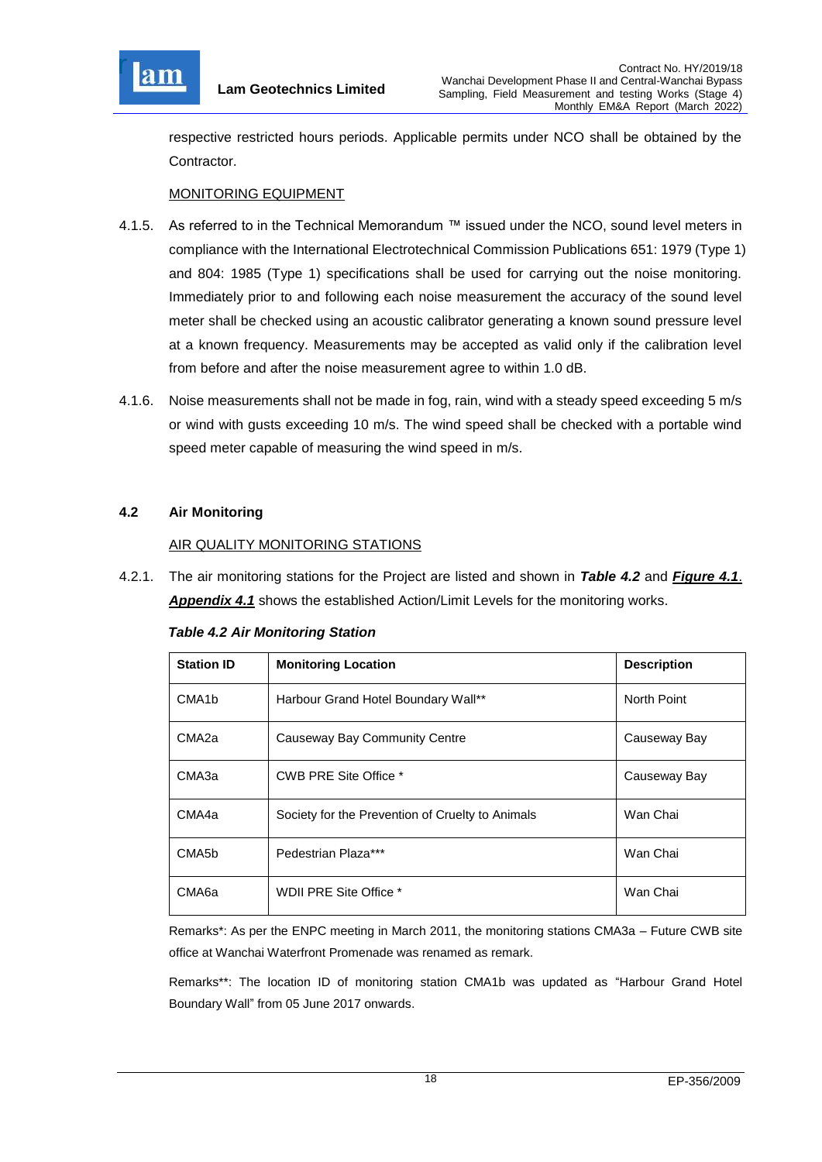

respective restricted hours periods. Applicable permits under NCO shall be obtained by the Contractor.

## MONITORING EQUIPMENT

- 4.1.5. As referred to in the Technical Memorandum ™ issued under the NCO, sound level meters in compliance with the International Electrotechnical Commission Publications 651: 1979 (Type 1) and 804: 1985 (Type 1) specifications shall be used for carrying out the noise monitoring. Immediately prior to and following each noise measurement the accuracy of the sound level meter shall be checked using an acoustic calibrator generating a known sound pressure level at a known frequency. Measurements may be accepted as valid only if the calibration level from before and after the noise measurement agree to within 1.0 dB.
- 4.1.6. Noise measurements shall not be made in fog, rain, wind with a steady speed exceeding 5 m/s or wind with gusts exceeding 10 m/s. The wind speed shall be checked with a portable wind speed meter capable of measuring the wind speed in m/s.

## <span id="page-18-0"></span>**4.2 Air Monitoring**

## AIR QUALITY MONITORING STATIONS

4.2.1. The air monitoring stations for the Project are listed and shown in *Table 4.2* and *[Figure 4.1](file:///C:/Users/kcchan/AppData/Roaming/Microsoft/Attachment/Fig%204.1_Location%20of%20monitoring%20stations.pdf)*. *[Appendix 4.1](file:///C:/Users/kcchan/AppData/Roaming/Microsoft/Attachment/App4.1%20Action%20and%20Limit%20Level.pdf)* shows the established Action/Limit Levels for the monitoring works.

| <b>Table 4.2 Air Monitoring Station</b> |  |
|-----------------------------------------|--|
|-----------------------------------------|--|

| <b>Station ID</b>  | <b>Monitoring Location</b>                       | <b>Description</b> |
|--------------------|--------------------------------------------------|--------------------|
| CMA <sub>1</sub> b | Harbour Grand Hotel Boundary Wall**              | North Point        |
| CMA <sub>2a</sub>  | Causeway Bay Community Centre                    | Causeway Bay       |
| CMA3a              | CWB PRE Site Office *                            | Causeway Bay       |
| CMA4a              | Society for the Prevention of Cruelty to Animals | Wan Chai           |
| CMA5b              | Pedestrian Plaza***                              | Wan Chai           |
| CMA6a              | WDII PRE Site Office *                           | Wan Chai           |

Remarks\*: As per the ENPC meeting in March 2011, the monitoring stations CMA3a – Future CWB site office at Wanchai Waterfront Promenade was renamed as remark.

Remarks\*\*: The location ID of monitoring station CMA1b was updated as "Harbour Grand Hotel Boundary Wall" from 05 June 2017 onwards.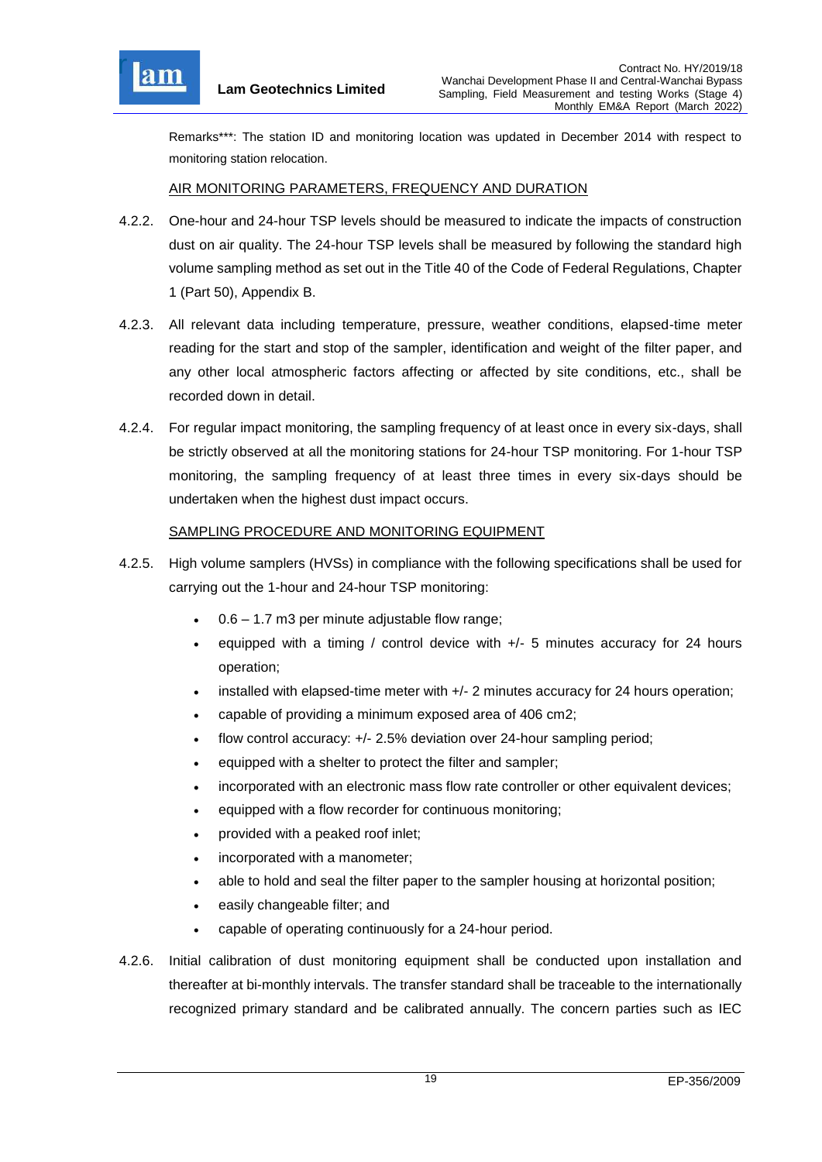

Remarks\*\*\*: The station ID and monitoring location was updated in December 2014 with respect to monitoring station relocation.

## AIR MONITORING PARAMETERS, FREQUENCY AND DURATION

- 4.2.2. One-hour and 24-hour TSP levels should be measured to indicate the impacts of construction dust on air quality. The 24-hour TSP levels shall be measured by following the standard high volume sampling method as set out in the Title 40 of the Code of Federal Regulations, Chapter 1 (Part 50), Appendix B.
- 4.2.3. All relevant data including temperature, pressure, weather conditions, elapsed-time meter reading for the start and stop of the sampler, identification and weight of the filter paper, and any other local atmospheric factors affecting or affected by site conditions, etc., shall be recorded down in detail.
- 4.2.4. For regular impact monitoring, the sampling frequency of at least once in every six-days, shall be strictly observed at all the monitoring stations for 24-hour TSP monitoring. For 1-hour TSP monitoring, the sampling frequency of at least three times in every six-days should be undertaken when the highest dust impact occurs.

### SAMPLING PROCEDURE AND MONITORING EQUIPMENT

- 4.2.5. High volume samplers (HVSs) in compliance with the following specifications shall be used for carrying out the 1-hour and 24-hour TSP monitoring:
	- 0.6 1.7 m3 per minute adjustable flow range;
	- equipped with a timing / control device with  $+/-$  5 minutes accuracy for 24 hours operation;
	- $\bullet$  installed with elapsed-time meter with  $+/2$  minutes accuracy for 24 hours operation;
	- capable of providing a minimum exposed area of 406 cm2;
	- flow control accuracy: +/- 2.5% deviation over 24-hour sampling period;
	- equipped with a shelter to protect the filter and sampler;
	- incorporated with an electronic mass flow rate controller or other equivalent devices;
	- equipped with a flow recorder for continuous monitoring;
	- provided with a peaked roof inlet;
	- incorporated with a manometer;
	- able to hold and seal the filter paper to the sampler housing at horizontal position;
	- easily changeable filter; and
	- capable of operating continuously for a 24-hour period.
- 4.2.6. Initial calibration of dust monitoring equipment shall be conducted upon installation and thereafter at bi-monthly intervals. The transfer standard shall be traceable to the internationally recognized primary standard and be calibrated annually. The concern parties such as IEC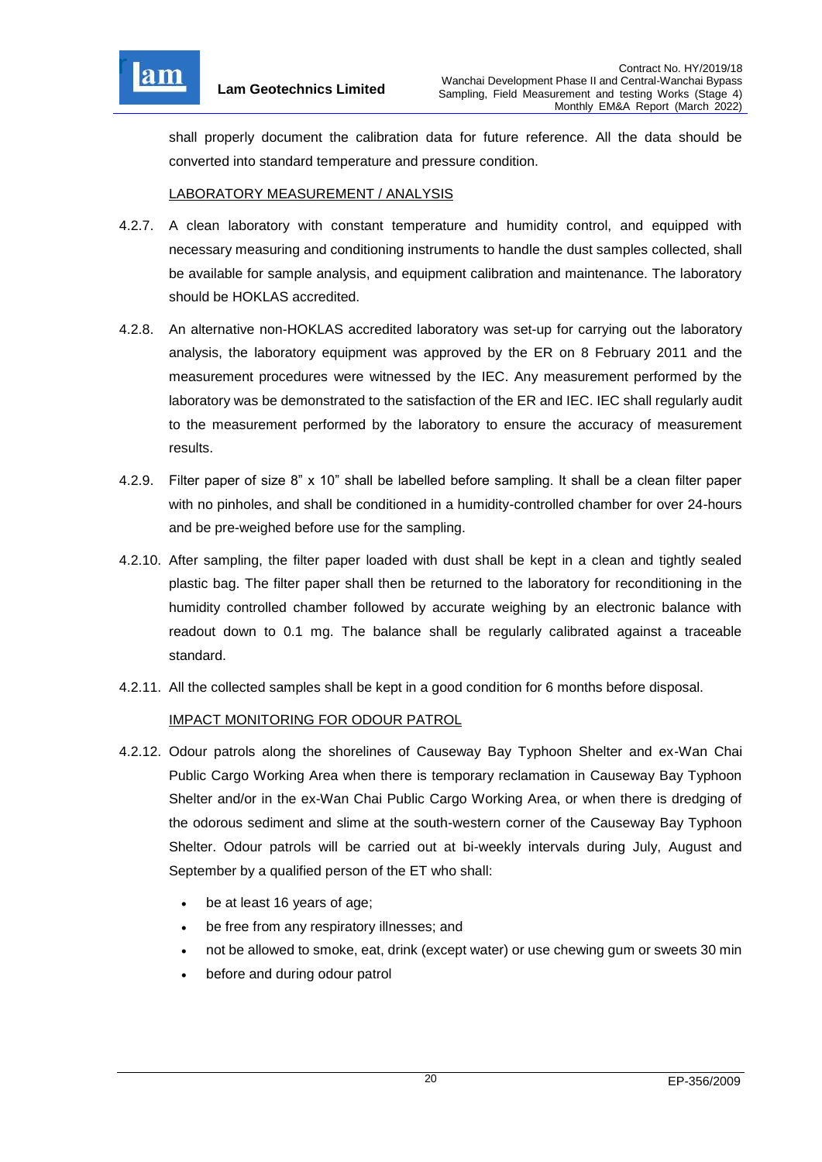

shall properly document the calibration data for future reference. All the data should be converted into standard temperature and pressure condition.

### LABORATORY MEASUREMENT / ANALYSIS

- 4.2.7. A clean laboratory with constant temperature and humidity control, and equipped with necessary measuring and conditioning instruments to handle the dust samples collected, shall be available for sample analysis, and equipment calibration and maintenance. The laboratory should be HOKLAS accredited.
- 4.2.8. An alternative non-HOKLAS accredited laboratory was set-up for carrying out the laboratory analysis, the laboratory equipment was approved by the ER on 8 February 2011 and the measurement procedures were witnessed by the IEC. Any measurement performed by the laboratory was be demonstrated to the satisfaction of the ER and IEC. IEC shall regularly audit to the measurement performed by the laboratory to ensure the accuracy of measurement results.
- 4.2.9. Filter paper of size 8" x 10" shall be labelled before sampling. It shall be a clean filter paper with no pinholes, and shall be conditioned in a humidity-controlled chamber for over 24-hours and be pre-weighed before use for the sampling.
- 4.2.10. After sampling, the filter paper loaded with dust shall be kept in a clean and tightly sealed plastic bag. The filter paper shall then be returned to the laboratory for reconditioning in the humidity controlled chamber followed by accurate weighing by an electronic balance with readout down to 0.1 mg. The balance shall be regularly calibrated against a traceable standard.
- 4.2.11. All the collected samples shall be kept in a good condition for 6 months before disposal.

## IMPACT MONITORING FOR ODOUR PATROL

- 4.2.12. Odour patrols along the shorelines of Causeway Bay Typhoon Shelter and ex-Wan Chai Public Cargo Working Area when there is temporary reclamation in Causeway Bay Typhoon Shelter and/or in the ex-Wan Chai Public Cargo Working Area, or when there is dredging of the odorous sediment and slime at the south-western corner of the Causeway Bay Typhoon Shelter. Odour patrols will be carried out at bi-weekly intervals during July, August and September by a qualified person of the ET who shall:
	- be at least 16 years of age;
	- be free from any respiratory illnesses; and
	- not be allowed to smoke, eat, drink (except water) or use chewing gum or sweets 30 min
	- before and during odour patrol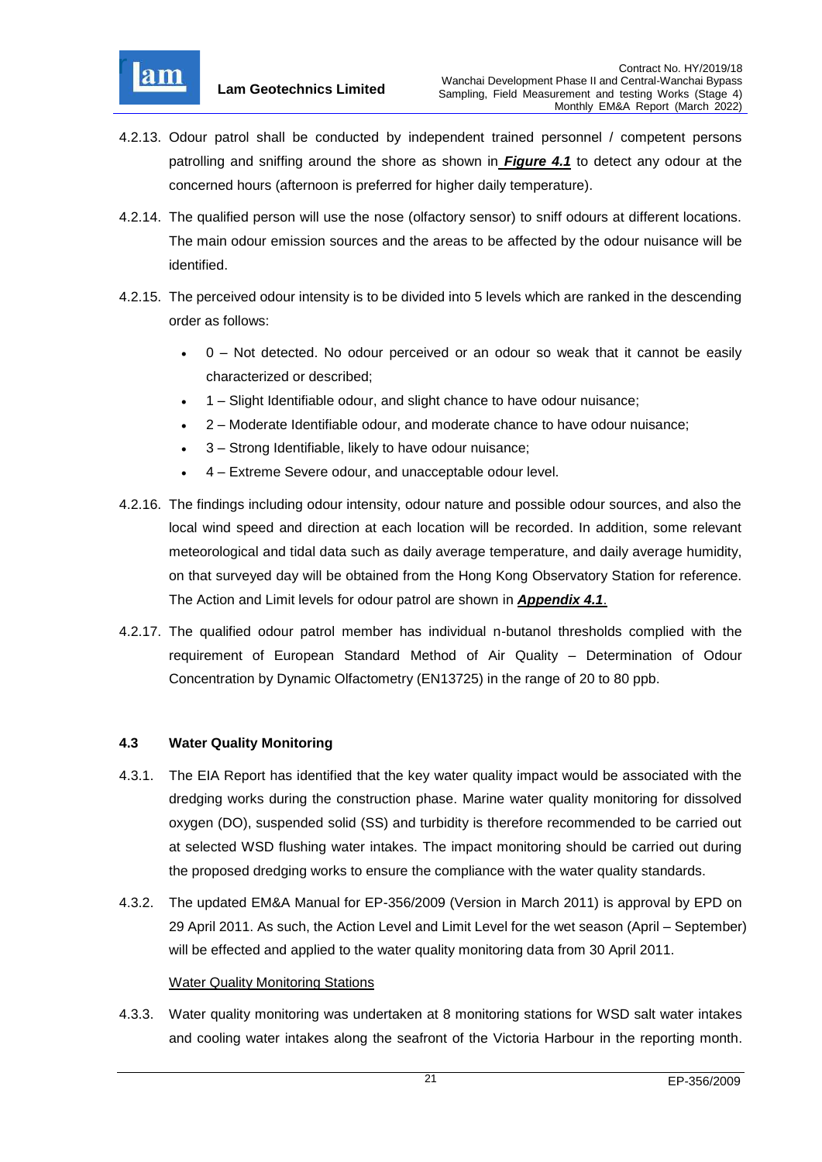

- 4.2.13. Odour patrol shall be conducted by independent trained personnel / competent persons patrolling and sniffing around the shore as shown in *[Figure 4.1](file:///C:/Users/porsia/Desktop/Attachment/Fig%204.1_Location%20of%20monitoring%20stations.pdf)* to detect any odour at the concerned hours (afternoon is preferred for higher daily temperature).
- 4.2.14. The qualified person will use the nose (olfactory sensor) to sniff odours at different locations. The main odour emission sources and the areas to be affected by the odour nuisance will be identified.
- 4.2.15. The perceived odour intensity is to be divided into 5 levels which are ranked in the descending order as follows:
	- 0 Not detected. No odour perceived or an odour so weak that it cannot be easily characterized or described;
	- 1 Slight Identifiable odour, and slight chance to have odour nuisance;
	- 2 Moderate Identifiable odour, and moderate chance to have odour nuisance;
	- 3 Strong Identifiable, likely to have odour nuisance;
	- 4 Extreme Severe odour, and unacceptable odour level.
- 4.2.16. The findings including odour intensity, odour nature and possible odour sources, and also the local wind speed and direction at each location will be recorded. In addition, some relevant meteorological and tidal data such as daily average temperature, and daily average humidity, on that surveyed day will be obtained from the Hong Kong Observatory Station for reference. The Action and Limit levels for odour patrol are shown in *[Appendix 4.1](file:///C:/Users/porsia/Desktop/Attachment/App4.1%20Action%20and%20Limit%20Level.pdf)*.
- 4.2.17. The qualified odour patrol member has individual n-butanol thresholds complied with the requirement of European Standard Method of Air Quality – Determination of Odour Concentration by Dynamic Olfactometry (EN13725) in the range of 20 to 80 ppb.

## <span id="page-21-0"></span>**4.3 Water Quality Monitoring**

- 4.3.1. The EIA Report has identified that the key water quality impact would be associated with the dredging works during the construction phase. Marine water quality monitoring for dissolved oxygen (DO), suspended solid (SS) and turbidity is therefore recommended to be carried out at selected WSD flushing water intakes. The impact monitoring should be carried out during the proposed dredging works to ensure the compliance with the water quality standards.
- 4.3.2. The updated EM&A Manual for EP-356/2009 (Version in March 2011) is approval by EPD on 29 April 2011. As such, the Action Level and Limit Level for the wet season (April – September) will be effected and applied to the water quality monitoring data from 30 April 2011.

### Water Quality Monitoring Stations

4.3.3. Water quality monitoring was undertaken at 8 monitoring stations for WSD salt water intakes and cooling water intakes along the seafront of the Victoria Harbour in the reporting month.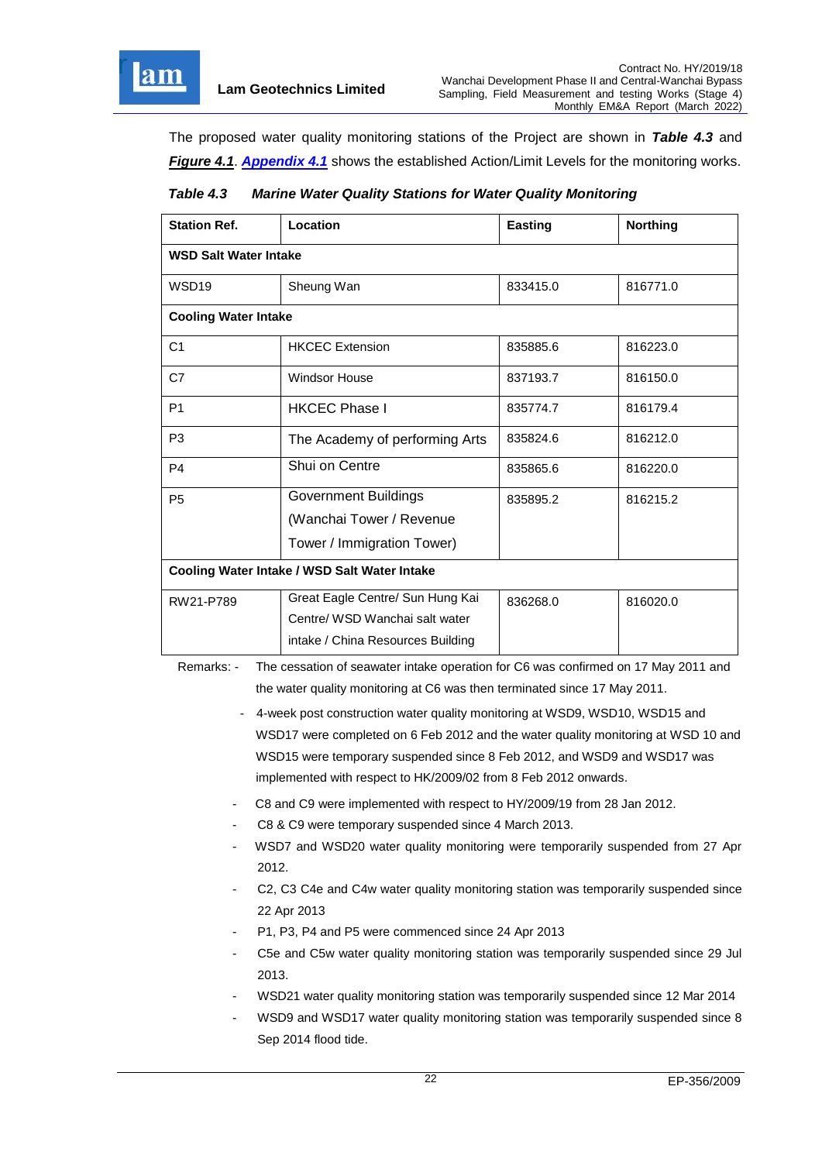

The proposed water quality monitoring stations of the Project are shown in *Table 4.3* and *[Figure 4.1](file:///C:/Users/porsia/Desktop/Attachment/Fig%204.1_Location%20of%20monitoring%20stations.pdf)*. *[Appendix 4.1](file:///C:/Users/porsia/Desktop/Attachment/App4.1%20Action%20and%20Limit%20Level.pdf)* shows the established Action/Limit Levels for the monitoring works.

<span id="page-22-0"></span>

| Table 4.3 | <b>Marine Water Quality Stations for Water Quality Monitoring</b> |  |
|-----------|-------------------------------------------------------------------|--|
|           |                                                                   |  |

| <b>Station Ref.</b>                          | Location                          | <b>Easting</b> | <b>Northing</b> |  |  |
|----------------------------------------------|-----------------------------------|----------------|-----------------|--|--|
| <b>WSD Salt Water Intake</b>                 |                                   |                |                 |  |  |
| WSD <sub>19</sub>                            | Sheung Wan                        | 833415.0       | 816771.0        |  |  |
| <b>Cooling Water Intake</b>                  |                                   |                |                 |  |  |
| C <sub>1</sub>                               | <b>HKCEC Extension</b>            | 835885.6       | 816223.0        |  |  |
| C7                                           | Windsor House                     | 837193.7       | 816150.0        |  |  |
| P <sub>1</sub>                               | <b>HKCEC Phase I</b>              | 835774.7       | 816179.4        |  |  |
| P <sub>3</sub>                               | The Academy of performing Arts    | 835824.6       | 816212.0        |  |  |
| P <sub>4</sub>                               | Shui on Centre                    | 835865.6       | 816220.0        |  |  |
| P <sub>5</sub>                               | <b>Government Buildings</b>       | 835895.2       | 816215.2        |  |  |
|                                              | (Wanchai Tower / Revenue          |                |                 |  |  |
|                                              | Tower / Immigration Tower)        |                |                 |  |  |
| Cooling Water Intake / WSD Salt Water Intake |                                   |                |                 |  |  |
| RW21-P789                                    | Great Eagle Centre/ Sun Hung Kai  | 836268.0       | 816020.0        |  |  |
|                                              | Centre/ WSD Wanchai salt water    |                |                 |  |  |
|                                              | intake / China Resources Building |                |                 |  |  |

Remarks: - The cessation of seawater intake operation for C6 was confirmed on 17 May 2011 and the water quality monitoring at C6 was then terminated since 17 May 2011.

- 4-week post construction water quality monitoring at WSD9, WSD10, WSD15 and WSD17 were completed on 6 Feb 2012 and the water quality monitoring at WSD 10 and WSD15 were temporary suspended since 8 Feb 2012, and WSD9 and WSD17 was implemented with respect to HK/2009/02 from 8 Feb 2012 onwards.
- C8 and C9 were implemented with respect to HY/2009/19 from 28 Jan 2012.
- C8 & C9 were temporary suspended since 4 March 2013.
- WSD7 and WSD20 water quality monitoring were temporarily suspended from 27 Apr 2012.
- C2, C3 C4e and C4w water quality monitoring station was temporarily suspended since 22 Apr 2013
- P1, P3, P4 and P5 were commenced since 24 Apr 2013
- C5e and C5w water quality monitoring station was temporarily suspended since 29 Jul 2013.
- WSD21 water quality monitoring station was temporarily suspended since 12 Mar 2014
- WSD9 and WSD17 water quality monitoring station was temporarily suspended since 8 Sep 2014 flood tide.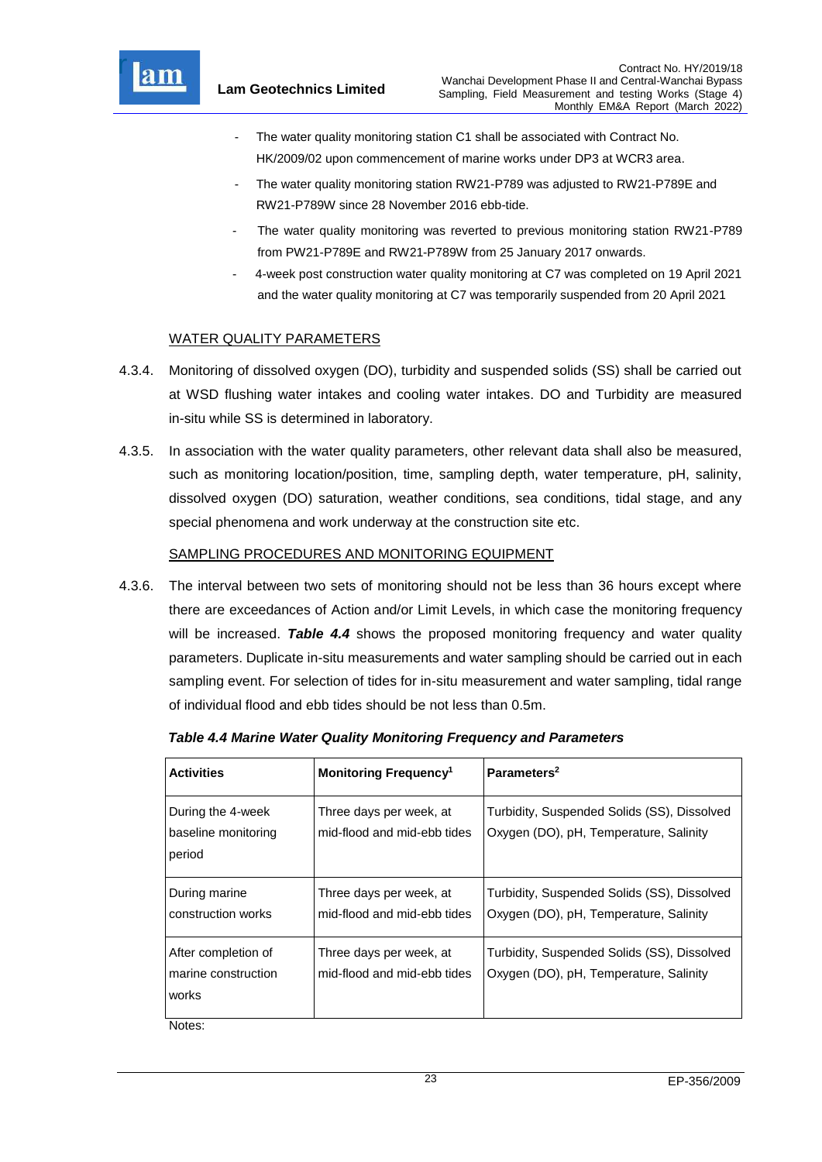

- The water quality monitoring station C1 shall be associated with Contract No. HK/2009/02 upon commencement of marine works under DP3 at WCR3 area.
- The water quality monitoring station RW21-P789 was adjusted to RW21-P789E and RW21-P789W since 28 November 2016 ebb-tide.
- The water quality monitoring was reverted to previous monitoring station RW21-P789 from PW21-P789E and RW21-P789W from 25 January 2017 onwards.
- 4-week post construction water quality monitoring at C7 was completed on 19 April 2021 and the water quality monitoring at C7 was temporarily suspended from 20 April 2021

### WATER QUALITY PARAMETERS

- 4.3.4. Monitoring of dissolved oxygen (DO), turbidity and suspended solids (SS) shall be carried out at WSD flushing water intakes and cooling water intakes. DO and Turbidity are measured in-situ while SS is determined in laboratory.
- 4.3.5. In association with the water quality parameters, other relevant data shall also be measured, such as monitoring location/position, time, sampling depth, water temperature, pH, salinity, dissolved oxygen (DO) saturation, weather conditions, sea conditions, tidal stage, and any special phenomena and work underway at the construction site etc.

### SAMPLING PROCEDURES AND MONITORING EQUIPMENT

4.3.6. The interval between two sets of monitoring should not be less than 36 hours except where there are exceedances of Action and/or Limit Levels, in which case the monitoring frequency will be increased. *Table 4.4* shows the proposed monitoring frequency and water quality parameters. Duplicate in-situ measurements and water sampling should be carried out in each sampling event. For selection of tides for in-situ measurement and water sampling, tidal range of individual flood and ebb tides should be not less than 0.5m.

| <b>Activities</b>                                                     | <b>Monitoring Frequency<sup>1</sup></b>                | Parameters <sup>2</sup>                                                               |
|-----------------------------------------------------------------------|--------------------------------------------------------|---------------------------------------------------------------------------------------|
| During the 4-week<br>baseline monitoring<br>period                    | Three days per week, at<br>mid-flood and mid-ebb tides | Turbidity, Suspended Solids (SS), Dissolved<br>Oxygen (DO), pH, Temperature, Salinity |
| During marine<br>construction works                                   | Three days per week, at<br>mid-flood and mid-ebb tides | Turbidity, Suspended Solids (SS), Dissolved<br>Oxygen (DO), pH, Temperature, Salinity |
| After completion of<br>marine construction<br>works<br>$\blacksquare$ | Three days per week, at<br>mid-flood and mid-ebb tides | Turbidity, Suspended Solids (SS), Dissolved<br>Oxygen (DO), pH, Temperature, Salinity |

<span id="page-23-0"></span>*Table 4.4 Marine Water Quality Monitoring Frequency and Parameters*

Notes: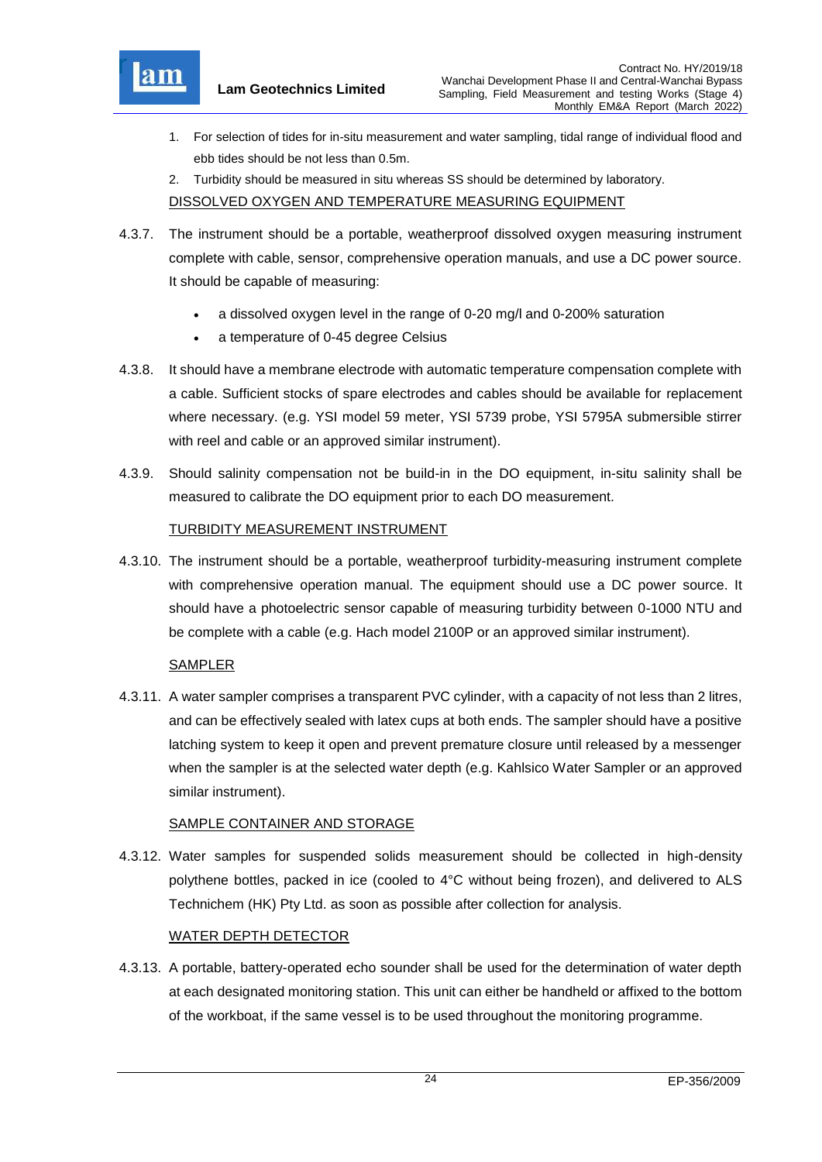

- 1. For selection of tides for in-situ measurement and water sampling, tidal range of individual flood and ebb tides should be not less than 0.5m.
- 2. Turbidity should be measured in situ whereas SS should be determined by laboratory.

DISSOLVED OXYGEN AND TEMPERATURE MEASURING EQUIPMENT

- 4.3.7. The instrument should be a portable, weatherproof dissolved oxygen measuring instrument complete with cable, sensor, comprehensive operation manuals, and use a DC power source. It should be capable of measuring:
	- a dissolved oxygen level in the range of 0-20 mg/l and 0-200% saturation
	- a temperature of 0-45 degree Celsius
- 4.3.8. It should have a membrane electrode with automatic temperature compensation complete with a cable. Sufficient stocks of spare electrodes and cables should be available for replacement where necessary. (e.g. YSI model 59 meter, YSI 5739 probe, YSI 5795A submersible stirrer with reel and cable or an approved similar instrument).
- 4.3.9. Should salinity compensation not be build-in in the DO equipment, in-situ salinity shall be measured to calibrate the DO equipment prior to each DO measurement.

## TURBIDITY MEASUREMENT INSTRUMENT

4.3.10. The instrument should be a portable, weatherproof turbidity-measuring instrument complete with comprehensive operation manual. The equipment should use a DC power source. It should have a photoelectric sensor capable of measuring turbidity between 0-1000 NTU and be complete with a cable (e.g. Hach model 2100P or an approved similar instrument).

### SAMPLER

4.3.11. A water sampler comprises a transparent PVC cylinder, with a capacity of not less than 2 litres, and can be effectively sealed with latex cups at both ends. The sampler should have a positive latching system to keep it open and prevent premature closure until released by a messenger when the sampler is at the selected water depth (e.g. Kahlsico Water Sampler or an approved similar instrument).

### SAMPLE CONTAINER AND STORAGE

4.3.12. Water samples for suspended solids measurement should be collected in high-density polythene bottles, packed in ice (cooled to 4°C without being frozen), and delivered to ALS Technichem (HK) Pty Ltd. as soon as possible after collection for analysis.

## WATER DEPTH DETECTOR

4.3.13. A portable, battery-operated echo sounder shall be used for the determination of water depth at each designated monitoring station. This unit can either be handheld or affixed to the bottom of the workboat, if the same vessel is to be used throughout the monitoring programme.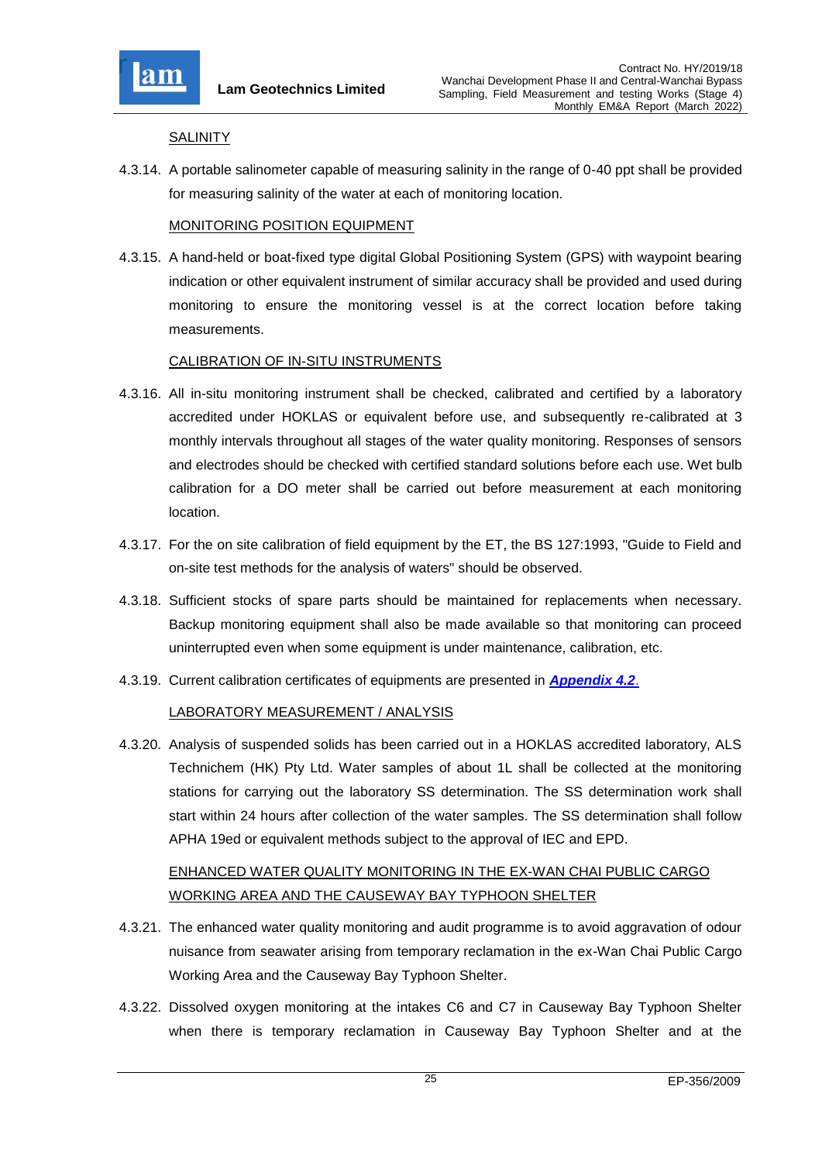

### **SALINITY**

4.3.14. A portable salinometer capable of measuring salinity in the range of 0-40 ppt shall be provided for measuring salinity of the water at each of monitoring location.

### MONITORING POSITION EQUIPMENT

4.3.15. A hand-held or boat-fixed type digital Global Positioning System (GPS) with waypoint bearing indication or other equivalent instrument of similar accuracy shall be provided and used during monitoring to ensure the monitoring vessel is at the correct location before taking measurements.

### CALIBRATION OF IN-SITU INSTRUMENTS

- 4.3.16. All in-situ monitoring instrument shall be checked, calibrated and certified by a laboratory accredited under HOKLAS or equivalent before use, and subsequently re-calibrated at 3 monthly intervals throughout all stages of the water quality monitoring. Responses of sensors and electrodes should be checked with certified standard solutions before each use. Wet bulb calibration for a DO meter shall be carried out before measurement at each monitoring location.
- 4.3.17. For the on site calibration of field equipment by the ET, the BS 127:1993, "Guide to Field and on-site test methods for the analysis of waters" should be observed.
- 4.3.18. Sufficient stocks of spare parts should be maintained for replacements when necessary. Backup monitoring equipment shall also be made available so that monitoring can proceed uninterrupted even when some equipment is under maintenance, calibration, etc.
- 4.3.19. Current calibration certificates of equipments are presented in *[Appendix 4.2](file:///C:/Users/kcchan/AppData/Roaming/Microsoft/Attachment/App4.2%20Calibration%20Certificates.pdf)*.

### LABORATORY MEASUREMENT / ANALYSIS

4.3.20. Analysis of suspended solids has been carried out in a HOKLAS accredited laboratory, ALS Technichem (HK) Pty Ltd. Water samples of about 1L shall be collected at the monitoring stations for carrying out the laboratory SS determination. The SS determination work shall start within 24 hours after collection of the water samples. The SS determination shall follow APHA 19ed or equivalent methods subject to the approval of IEC and EPD.

# ENHANCED WATER QUALITY MONITORING IN THE EX-WAN CHAI PUBLIC CARGO WORKING AREA AND THE CAUSEWAY BAY TYPHOON SHELTER

- 4.3.21. The enhanced water quality monitoring and audit programme is to avoid aggravation of odour nuisance from seawater arising from temporary reclamation in the ex-Wan Chai Public Cargo Working Area and the Causeway Bay Typhoon Shelter.
- 4.3.22. Dissolved oxygen monitoring at the intakes C6 and C7 in Causeway Bay Typhoon Shelter when there is temporary reclamation in Causeway Bay Typhoon Shelter and at the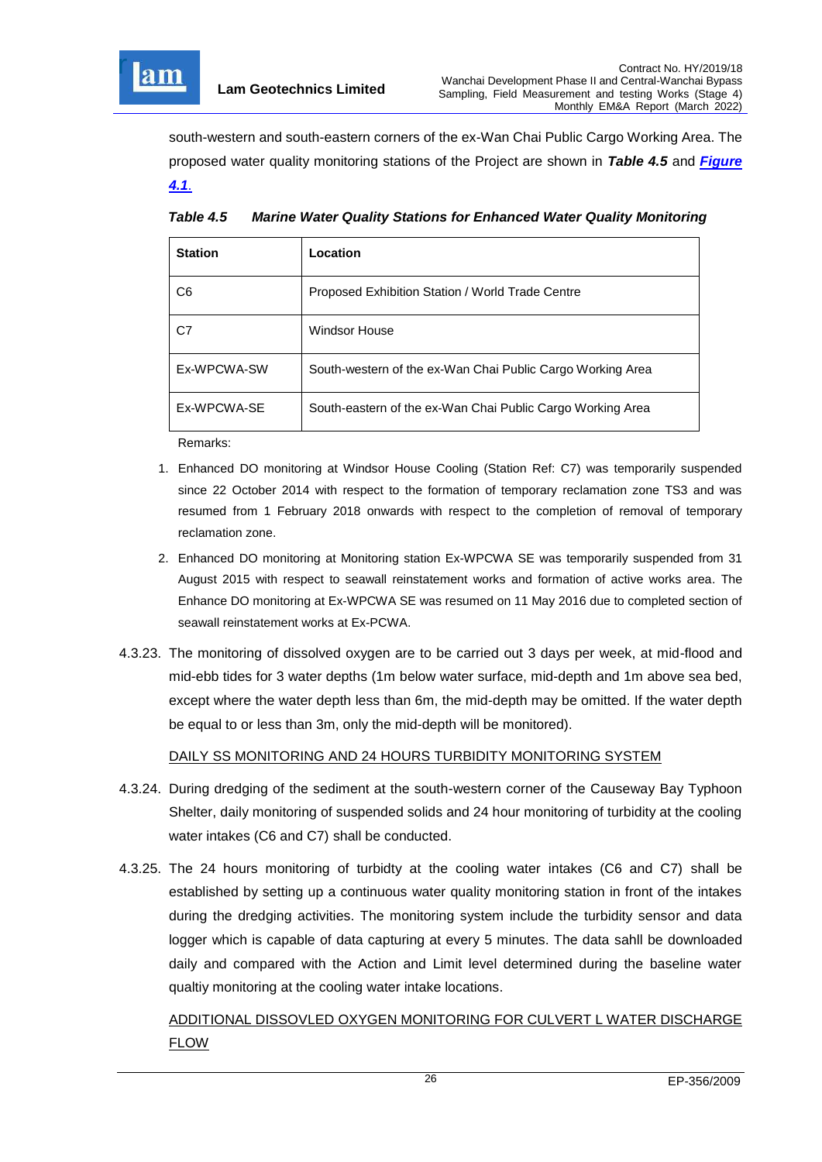

south-western and south-eastern corners of the ex-Wan Chai Public Cargo Working Area. The proposed water quality monitoring stations of the Project are shown in *Table 4.5* and *[Figure](file:///C:/Users/kcchan/AppData/Roaming/Microsoft/Attachment/Fig%204.1_Location%20of%20monitoring%20stations.pdf) [4.1](file:///C:/Users/kcchan/AppData/Roaming/Microsoft/Attachment/Fig%204.1_Location%20of%20monitoring%20stations.pdf)*.

| <b>Station</b> | Location                                                   |
|----------------|------------------------------------------------------------|
| C6             | Proposed Exhibition Station / World Trade Centre           |
| C7             | <b>Windsor House</b>                                       |
| Ex-WPCWA-SW    | South-western of the ex-Wan Chai Public Cargo Working Area |
| Ex-WPCWA-SE    | South-eastern of the ex-Wan Chai Public Cargo Working Area |

<span id="page-26-0"></span>*Table 4.5 Marine Water Quality Stations for Enhanced Water Quality Monitoring*

Remarks:

- 1. Enhanced DO monitoring at Windsor House Cooling (Station Ref: C7) was temporarily suspended since 22 October 2014 with respect to the formation of temporary reclamation zone TS3 and was resumed from 1 February 2018 onwards with respect to the completion of removal of temporary reclamation zone.
- 2. Enhanced DO monitoring at Monitoring station Ex-WPCWA SE was temporarily suspended from 31 August 2015 with respect to seawall reinstatement works and formation of active works area. The Enhance DO monitoring at Ex-WPCWA SE was resumed on 11 May 2016 due to completed section of seawall reinstatement works at Ex-PCWA.
- 4.3.23. The monitoring of dissolved oxygen are to be carried out 3 days per week, at mid-flood and mid-ebb tides for 3 water depths (1m below water surface, mid-depth and 1m above sea bed, except where the water depth less than 6m, the mid-depth may be omitted. If the water depth be equal to or less than 3m, only the mid-depth will be monitored).

## DAILY SS MONITORING AND 24 HOURS TURBIDITY MONITORING SYSTEM

- 4.3.24. During dredging of the sediment at the south-western corner of the Causeway Bay Typhoon Shelter, daily monitoring of suspended solids and 24 hour monitoring of turbidity at the cooling water intakes (C6 and C7) shall be conducted.
- 4.3.25. The 24 hours monitoring of turbidty at the cooling water intakes (C6 and C7) shall be established by setting up a continuous water quality monitoring station in front of the intakes during the dredging activities. The monitoring system include the turbidity sensor and data logger which is capable of data capturing at every 5 minutes. The data sahll be downloaded daily and compared with the Action and Limit level determined during the baseline water qualtiy monitoring at the cooling water intake locations.

ADDITIONAL DISSOVLED OXYGEN MONITORING FOR CULVERT L WATER DISCHARGE FLOW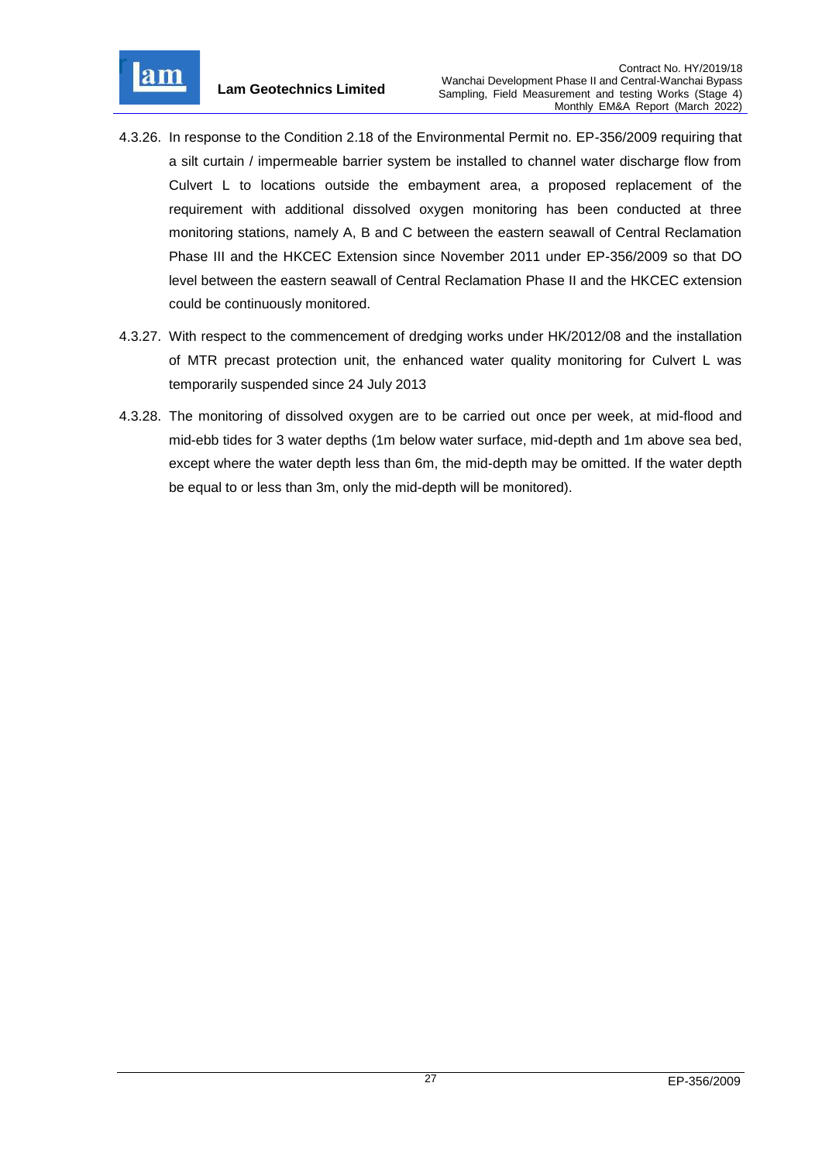

- 4.3.26. In response to the Condition 2.18 of the Environmental Permit no. EP-356/2009 requiring that a silt curtain / impermeable barrier system be installed to channel water discharge flow from Culvert L to locations outside the embayment area, a proposed replacement of the requirement with additional dissolved oxygen monitoring has been conducted at three monitoring stations, namely A, B and C between the eastern seawall of Central Reclamation Phase III and the HKCEC Extension since November 2011 under EP-356/2009 so that DO level between the eastern seawall of Central Reclamation Phase II and the HKCEC extension could be continuously monitored.
- 4.3.27. With respect to the commencement of dredging works under HK/2012/08 and the installation of MTR precast protection unit, the enhanced water quality monitoring for Culvert L was temporarily suspended since 24 July 2013
- 4.3.28. The monitoring of dissolved oxygen are to be carried out once per week, at mid-flood and mid-ebb tides for 3 water depths (1m below water surface, mid-depth and 1m above sea bed, except where the water depth less than 6m, the mid-depth may be omitted. If the water depth be equal to or less than 3m, only the mid-depth will be monitored).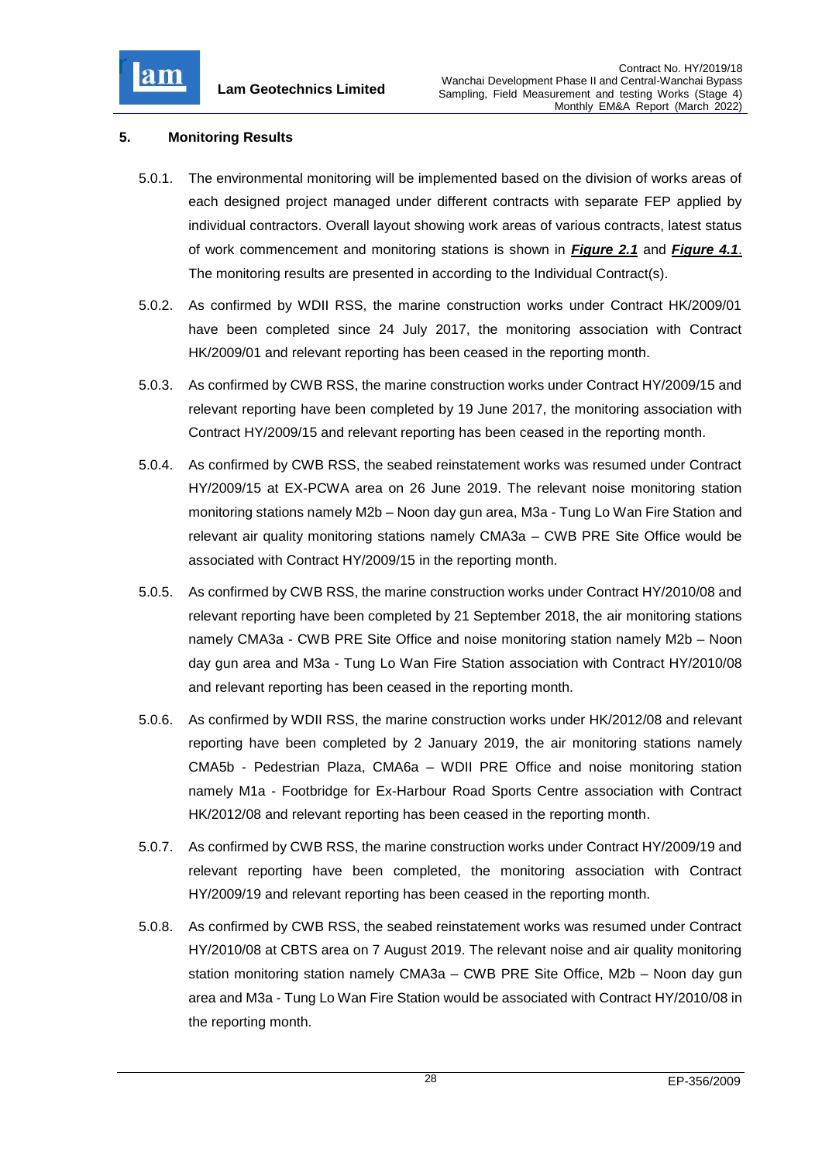

## <span id="page-28-0"></span>**5. Monitoring Results**

- 5.0.1. The environmental monitoring will be implemented based on the division of works areas of each designed project managed under different contracts with separate FEP applied by individual contractors. Overall layout showing work areas of various contracts, latest status of work commencement and monitoring stations is shown in *[Figure 2.1](file:///C:/Users/kcchan/AppData/Roaming/Microsoft/Attachment/Fig%202.1_Project%20Layout.pdf)* and *[Figure 4.1](file:///C:/Users/kcchan/AppData/Roaming/Microsoft/Attachment/Fig%204.1_Location%20of%20monitoring%20stations.pdf)*. The monitoring results are presented in according to the Individual Contract(s).
- 5.0.2. As confirmed by WDII RSS, the marine construction works under Contract HK/2009/01 have been completed since 24 July 2017, the monitoring association with Contract HK/2009/01 and relevant reporting has been ceased in the reporting month.
- 5.0.3. As confirmed by CWB RSS, the marine construction works under Contract HY/2009/15 and relevant reporting have been completed by 19 June 2017, the monitoring association with Contract HY/2009/15 and relevant reporting has been ceased in the reporting month.
- 5.0.4. As confirmed by CWB RSS, the seabed reinstatement works was resumed under Contract HY/2009/15 at EX-PCWA area on 26 June 2019. The relevant noise monitoring station monitoring stations namely M2b – Noon day gun area, M3a - Tung Lo Wan Fire Station and relevant air quality monitoring stations namely CMA3a – CWB PRE Site Office would be associated with Contract HY/2009/15 in the reporting month.
- 5.0.5. As confirmed by CWB RSS, the marine construction works under Contract HY/2010/08 and relevant reporting have been completed by 21 September 2018, the air monitoring stations namely CMA3a - CWB PRE Site Office and noise monitoring station namely M2b – Noon day gun area and M3a - Tung Lo Wan Fire Station association with Contract HY/2010/08 and relevant reporting has been ceased in the reporting month.
- 5.0.6. As confirmed by WDII RSS, the marine construction works under HK/2012/08 and relevant reporting have been completed by 2 January 2019, the air monitoring stations namely CMA5b - Pedestrian Plaza, CMA6a – WDII PRE Office and noise monitoring station namely M1a - Footbridge for Ex-Harbour Road Sports Centre association with Contract HK/2012/08 and relevant reporting has been ceased in the reporting month.
- 5.0.7. As confirmed by CWB RSS, the marine construction works under Contract HY/2009/19 and relevant reporting have been completed, the monitoring association with Contract HY/2009/19 and relevant reporting has been ceased in the reporting month.
- 5.0.8. As confirmed by CWB RSS, the seabed reinstatement works was resumed under Contract HY/2010/08 at CBTS area on 7 August 2019. The relevant noise and air quality monitoring station monitoring station namely CMA3a – CWB PRE Site Office, M2b – Noon day gun area and M3a - Tung Lo Wan Fire Station would be associated with Contract HY/2010/08 in the reporting month.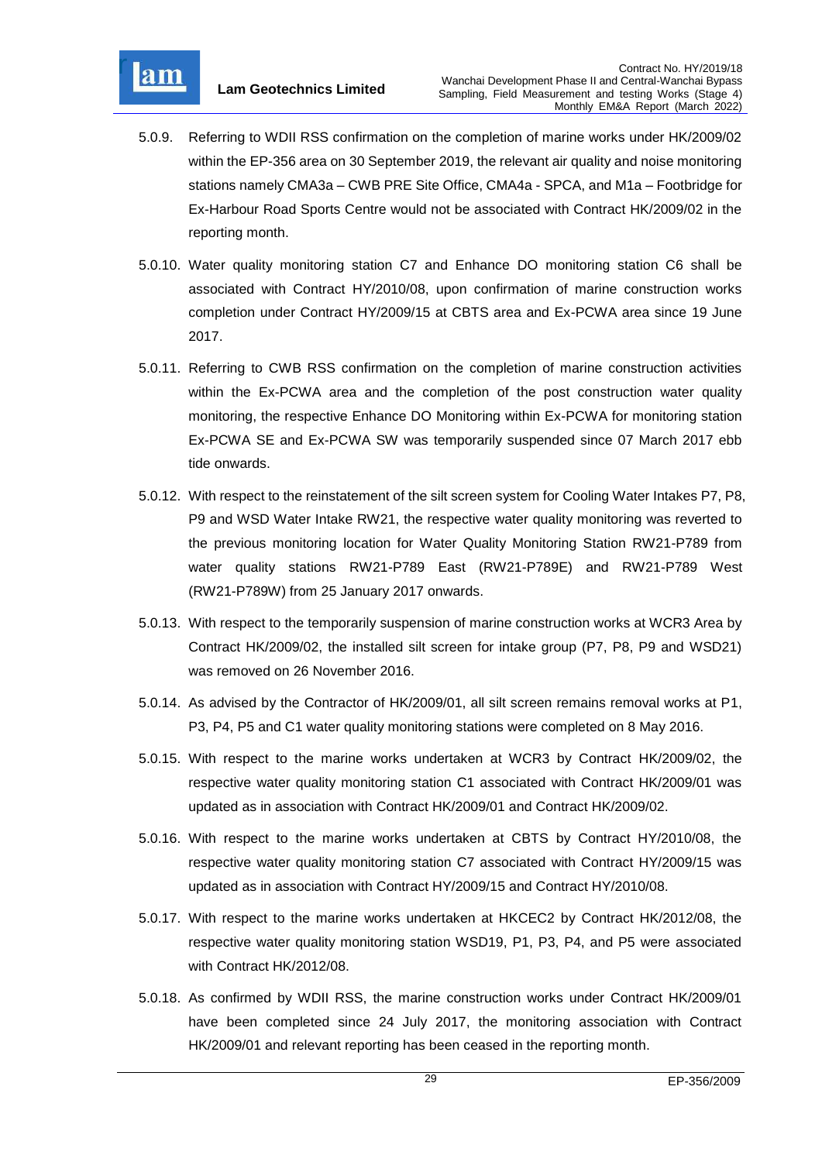

- 5.0.9. Referring to WDII RSS confirmation on the completion of marine works under HK/2009/02 within the EP-356 area on 30 September 2019, the relevant air quality and noise monitoring stations namely CMA3a – CWB PRE Site Office, CMA4a - SPCA, and M1a – Footbridge for Ex-Harbour Road Sports Centre would not be associated with Contract HK/2009/02 in the reporting month.
- 5.0.10. Water quality monitoring station C7 and Enhance DO monitoring station C6 shall be associated with Contract HY/2010/08, upon confirmation of marine construction works completion under Contract HY/2009/15 at CBTS area and Ex-PCWA area since 19 June 2017.
- 5.0.11. Referring to CWB RSS confirmation on the completion of marine construction activities within the Ex-PCWA area and the completion of the post construction water quality monitoring, the respective Enhance DO Monitoring within Ex-PCWA for monitoring station Ex-PCWA SE and Ex-PCWA SW was temporarily suspended since 07 March 2017 ebb tide onwards.
- 5.0.12. With respect to the reinstatement of the silt screen system for Cooling Water Intakes P7, P8, P9 and WSD Water Intake RW21, the respective water quality monitoring was reverted to the previous monitoring location for Water Quality Monitoring Station RW21-P789 from water quality stations RW21-P789 East (RW21-P789E) and RW21-P789 West (RW21-P789W) from 25 January 2017 onwards.
- 5.0.13. With respect to the temporarily suspension of marine construction works at WCR3 Area by Contract HK/2009/02, the installed silt screen for intake group (P7, P8, P9 and WSD21) was removed on 26 November 2016.
- 5.0.14. As advised by the Contractor of HK/2009/01, all silt screen remains removal works at P1, P3, P4, P5 and C1 water quality monitoring stations were completed on 8 May 2016.
- 5.0.15. With respect to the marine works undertaken at WCR3 by Contract HK/2009/02, the respective water quality monitoring station C1 associated with Contract HK/2009/01 was updated as in association with Contract HK/2009/01 and Contract HK/2009/02.
- 5.0.16. With respect to the marine works undertaken at CBTS by Contract HY/2010/08, the respective water quality monitoring station C7 associated with Contract HY/2009/15 was updated as in association with Contract HY/2009/15 and Contract HY/2010/08.
- 5.0.17. With respect to the marine works undertaken at HKCEC2 by Contract HK/2012/08, the respective water quality monitoring station WSD19, P1, P3, P4, and P5 were associated with Contract HK/2012/08.
- 5.0.18. As confirmed by WDII RSS, the marine construction works under Contract HK/2009/01 have been completed since 24 July 2017, the monitoring association with Contract HK/2009/01 and relevant reporting has been ceased in the reporting month.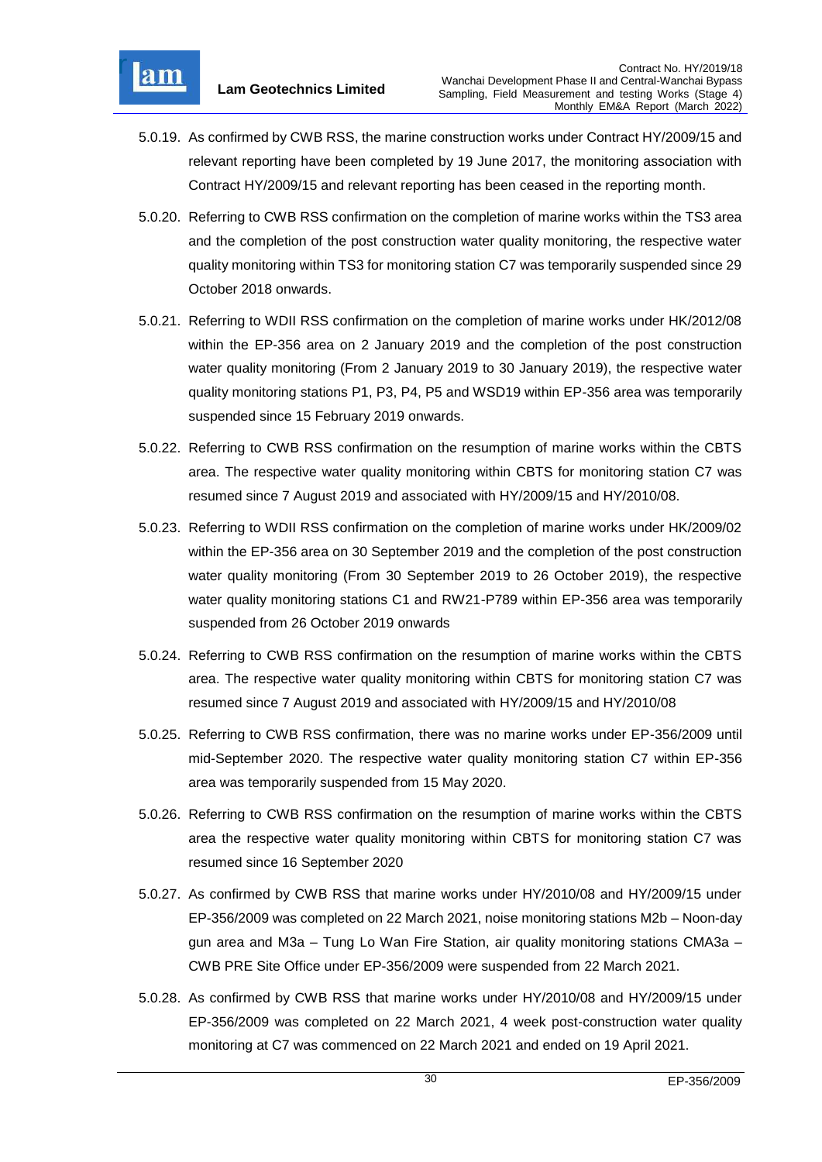

- 5.0.19. As confirmed by CWB RSS, the marine construction works under Contract HY/2009/15 and relevant reporting have been completed by 19 June 2017, the monitoring association with Contract HY/2009/15 and relevant reporting has been ceased in the reporting month.
- 5.0.20. Referring to CWB RSS confirmation on the completion of marine works within the TS3 area and the completion of the post construction water quality monitoring, the respective water quality monitoring within TS3 for monitoring station C7 was temporarily suspended since 29 October 2018 onwards.
- 5.0.21. Referring to WDII RSS confirmation on the completion of marine works under HK/2012/08 within the EP-356 area on 2 January 2019 and the completion of the post construction water quality monitoring (From 2 January 2019 to 30 January 2019), the respective water quality monitoring stations P1, P3, P4, P5 and WSD19 within EP-356 area was temporarily suspended since 15 February 2019 onwards.
- 5.0.22. Referring to CWB RSS confirmation on the resumption of marine works within the CBTS area. The respective water quality monitoring within CBTS for monitoring station C7 was resumed since 7 August 2019 and associated with HY/2009/15 and HY/2010/08.
- 5.0.23. Referring to WDII RSS confirmation on the completion of marine works under HK/2009/02 within the EP-356 area on 30 September 2019 and the completion of the post construction water quality monitoring (From 30 September 2019 to 26 October 2019), the respective water quality monitoring stations C1 and RW21-P789 within EP-356 area was temporarily suspended from 26 October 2019 onwards
- 5.0.24. Referring to CWB RSS confirmation on the resumption of marine works within the CBTS area. The respective water quality monitoring within CBTS for monitoring station C7 was resumed since 7 August 2019 and associated with HY/2009/15 and HY/2010/08
- 5.0.25. Referring to CWB RSS confirmation, there was no marine works under EP-356/2009 until mid-September 2020. The respective water quality monitoring station C7 within EP-356 area was temporarily suspended from 15 May 2020.
- 5.0.26. Referring to CWB RSS confirmation on the resumption of marine works within the CBTS area the respective water quality monitoring within CBTS for monitoring station C7 was resumed since 16 September 2020
- 5.0.27. As confirmed by CWB RSS that marine works under HY/2010/08 and HY/2009/15 under EP-356/2009 was completed on 22 March 2021, noise monitoring stations M2b – Noon-day gun area and M3a – Tung Lo Wan Fire Station, air quality monitoring stations CMA3a – CWB PRE Site Office under EP-356/2009 were suspended from 22 March 2021.
- 5.0.28. As confirmed by CWB RSS that marine works under HY/2010/08 and HY/2009/15 under EP-356/2009 was completed on 22 March 2021, 4 week post-construction water quality monitoring at C7 was commenced on 22 March 2021 and ended on 19 April 2021.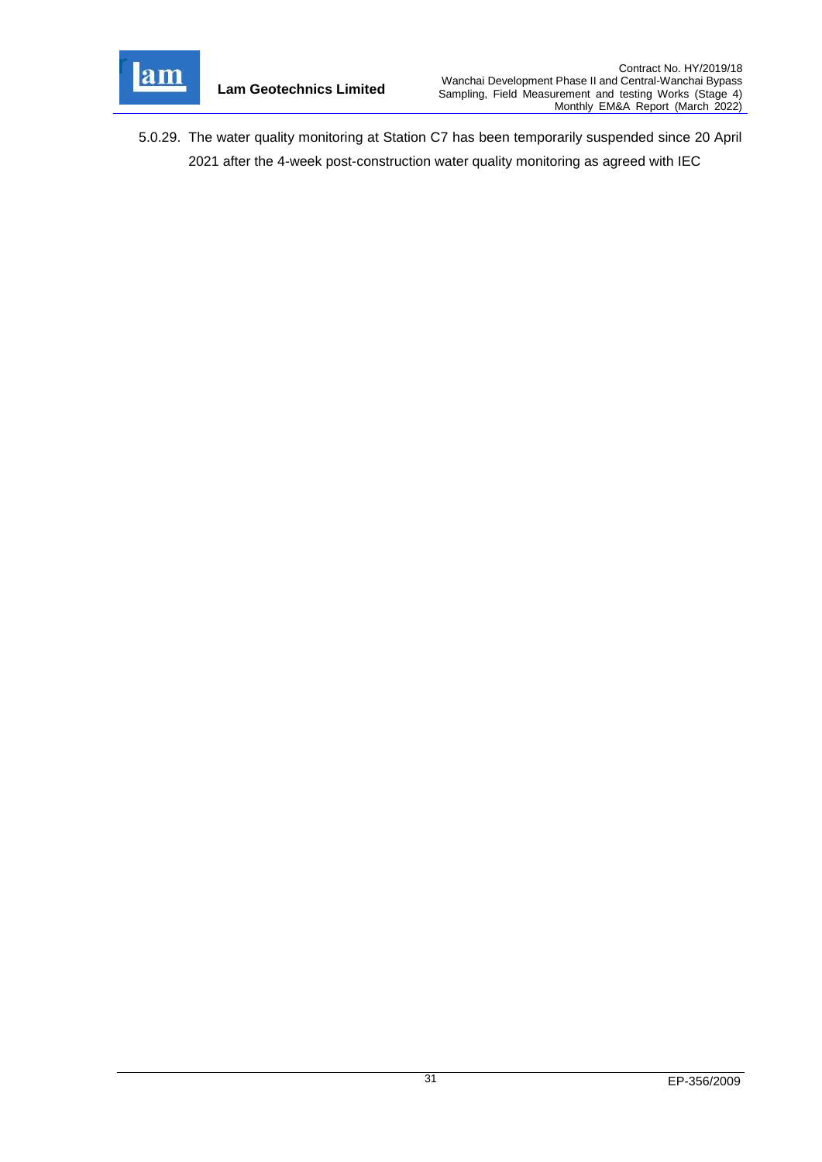

5.0.29. The water quality monitoring at Station C7 has been temporarily suspended since 20 April 2021 after the 4-week post-construction water quality monitoring as agreed with IEC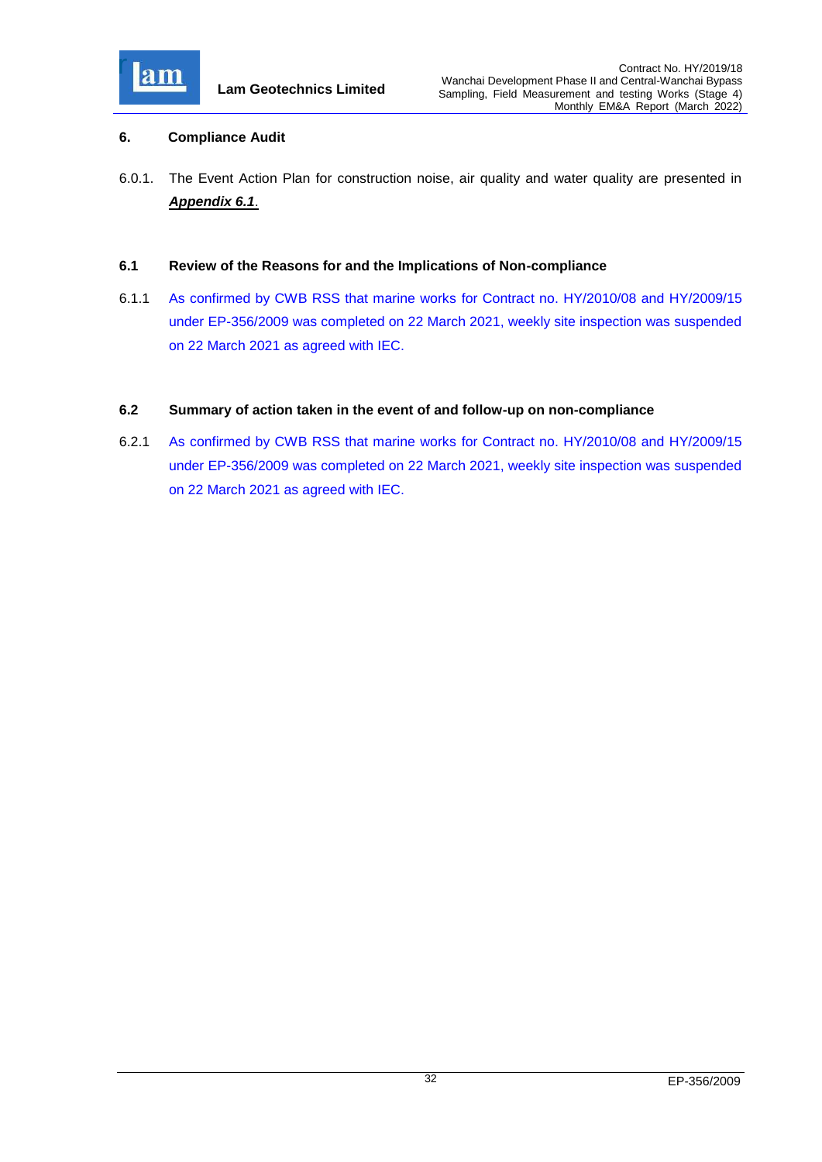

## <span id="page-32-0"></span>**6. Compliance Audit**

6.0.1. The Event Action Plan for construction noise, air quality and water quality are presented in *[Appendix 6.1](file:///C:/Users/kcchan/AppData/Roaming/Microsoft/Attachment/App6.1_Event%20and%20Action%20Plan.pdf)*.

### <span id="page-32-1"></span>**6.1 Review of the Reasons for and the Implications of Non-compliance**

6.1.1 As confirmed by CWB RSS that marine works for Contract no. HY/2010/08 and HY/2009/15 under EP-356/2009 was completed on 22 March 2021, weekly site inspection was suspended on 22 March 2021 as agreed with IEC.

### <span id="page-32-2"></span>**6.2 Summary of action taken in the event of and follow-up on non-compliance**

6.2.1 As confirmed by CWB RSS that marine works for Contract no. HY/2010/08 and HY/2009/15 under EP-356/2009 was completed on 22 March 2021, weekly site inspection was suspended on 22 March 2021 as agreed with IEC.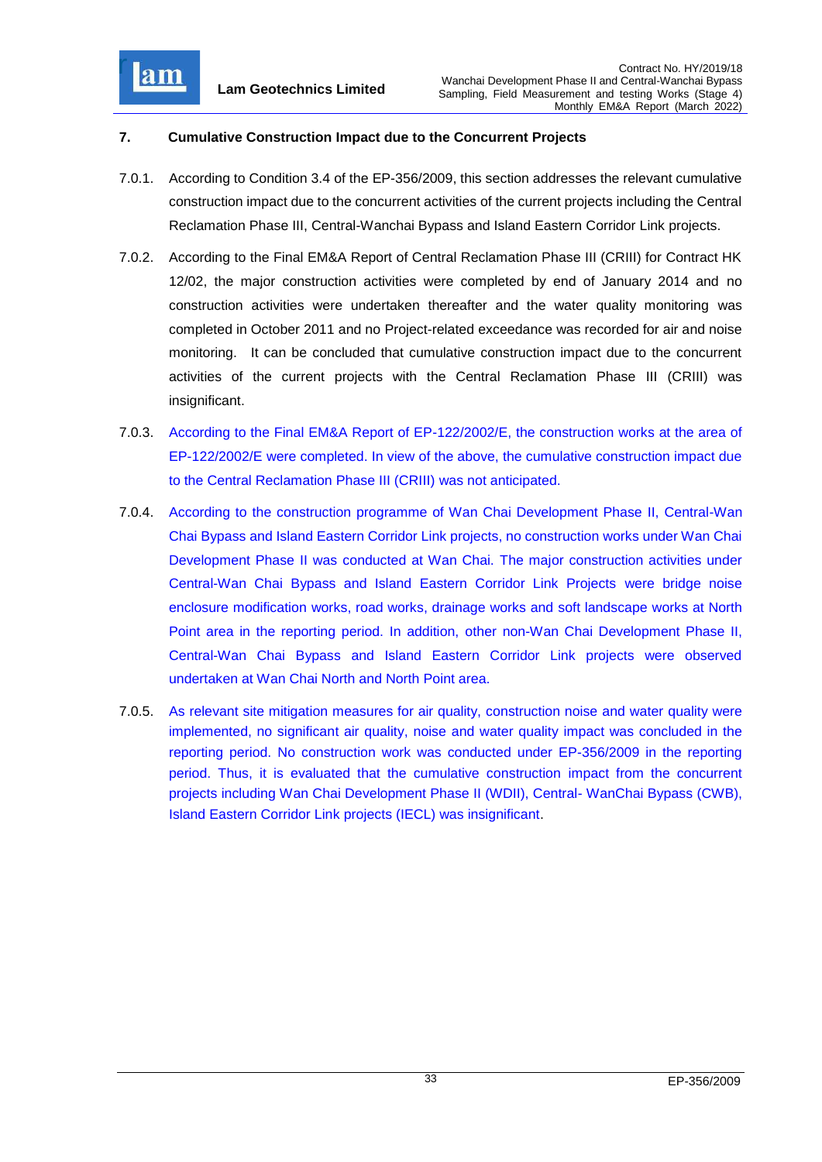

## <span id="page-33-0"></span>**7. Cumulative Construction Impact due to the Concurrent Projects**

- 7.0.1. According to Condition 3.4 of the EP-356/2009, this section addresses the relevant cumulative construction impact due to the concurrent activities of the current projects including the Central Reclamation Phase III, Central-Wanchai Bypass and Island Eastern Corridor Link projects.
- 7.0.2. According to the Final EM&A Report of Central Reclamation Phase III (CRIII) for Contract HK 12/02, the major construction activities were completed by end of January 2014 and no construction activities were undertaken thereafter and the water quality monitoring was completed in October 2011 and no Project-related exceedance was recorded for air and noise monitoring. It can be concluded that cumulative construction impact due to the concurrent activities of the current projects with the Central Reclamation Phase III (CRIII) was insignificant.
- 7.0.3. According to the Final EM&A Report of EP-122/2002/E, the construction works at the area of EP-122/2002/E were completed. In view of the above, the cumulative construction impact due to the Central Reclamation Phase III (CRIII) was not anticipated.
- 7.0.4. According to the construction programme of Wan Chai Development Phase II, Central-Wan Chai Bypass and Island Eastern Corridor Link projects, no construction works under Wan Chai Development Phase II was conducted at Wan Chai. The major construction activities under Central-Wan Chai Bypass and Island Eastern Corridor Link Projects were bridge noise enclosure modification works, road works, drainage works and soft landscape works at North Point area in the reporting period. In addition, other non-Wan Chai Development Phase II, Central-Wan Chai Bypass and Island Eastern Corridor Link projects were observed undertaken at Wan Chai North and North Point area.
- 7.0.5. As relevant site mitigation measures for air quality, construction noise and water quality were implemented, no significant air quality, noise and water quality impact was concluded in the reporting period. No construction work was conducted under EP-356/2009 in the reporting period. Thus, it is evaluated that the cumulative construction impact from the concurrent projects including Wan Chai Development Phase II (WDII), Central- WanChai Bypass (CWB), Island Eastern Corridor Link projects (IECL) was insignificant.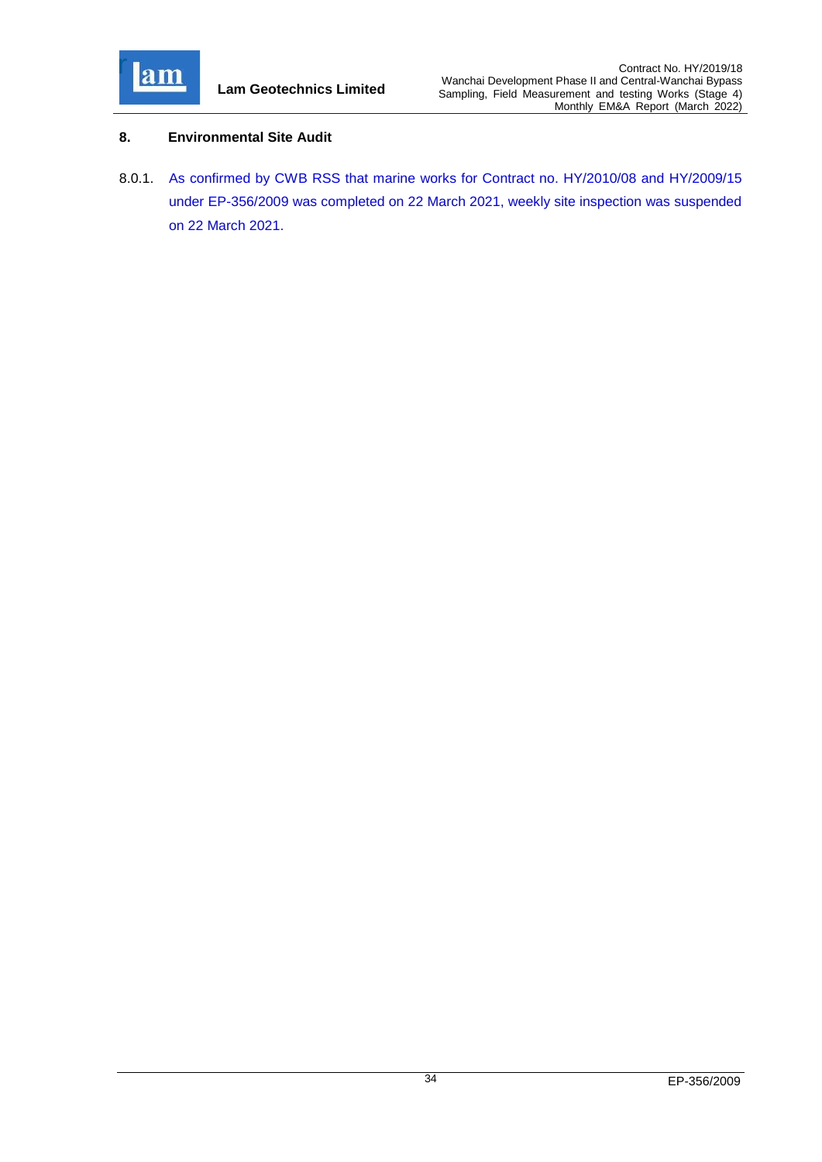

## <span id="page-34-0"></span>**8. Environmental Site Audit**

8.0.1. As confirmed by CWB RSS that marine works for Contract no. HY/2010/08 and HY/2009/15 under EP-356/2009 was completed on 22 March 2021, weekly site inspection was suspended on 22 March 2021.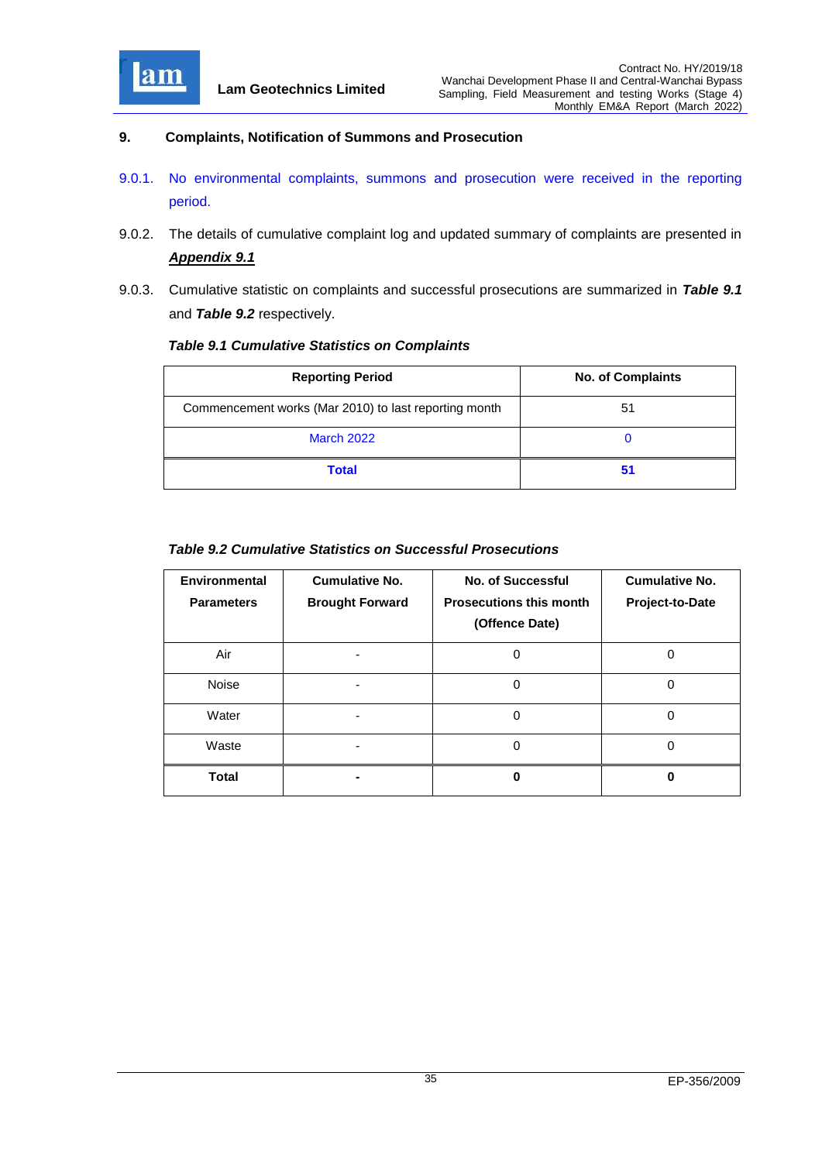

### <span id="page-35-0"></span>**9. Complaints, Notification of Summons and Prosecution**

- 9.0.1. No environmental complaints, summons and prosecution were received in the reporting period.
- 9.0.2. The details of cumulative complaint log and updated summary of complaints are presented in *[Appendix 9.1](file:///C:/Users/kcchan/AppData/Roaming/Microsoft/Attachment/App9.1%20Complaint%20Log.pdf)*
- 9.0.3. Cumulative statistic on complaints and successful prosecutions are summarized in *Table 9.1* and *Table 9.2* respectively.

### <span id="page-35-1"></span>*Table 9.1 Cumulative Statistics on Complaints*

| <b>Reporting Period</b>                               | <b>No. of Complaints</b> |  |
|-------------------------------------------------------|--------------------------|--|
| Commencement works (Mar 2010) to last reporting month | 51                       |  |
| <b>March 2022</b>                                     | O                        |  |
| <b>Total</b>                                          | 51                       |  |

## <span id="page-35-2"></span>*Table 9.2 Cumulative Statistics on Successful Prosecutions*

| Environmental<br><b>Parameters</b> | <b>Cumulative No.</b><br><b>Brought Forward</b> | <b>No. of Successful</b><br><b>Prosecutions this month</b><br>(Offence Date) | <b>Cumulative No.</b><br>Project-to-Date |
|------------------------------------|-------------------------------------------------|------------------------------------------------------------------------------|------------------------------------------|
| Air                                |                                                 | O                                                                            | ი                                        |
| <b>Noise</b>                       |                                                 | 0                                                                            | 0                                        |
| Water                              |                                                 | 0                                                                            | 0                                        |
| Waste                              |                                                 | 0                                                                            | 0                                        |
| <b>Total</b>                       |                                                 | ŋ                                                                            | ŋ                                        |